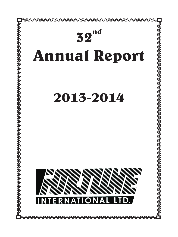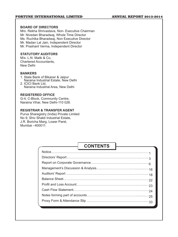# **BOARD OF DIRECTORS**

Mrs. Rekha Shrivastava, Non- Executive Chairman Mr. Nivedan Bharadwaj, Whole Time Director Mr. Madan Lal Jain, Independent Director Mr. Prashant Verma, Independent Director Ms. Ruchika Bharadwaj, Non Executive Director

# **STATUTORY AUDITORS**

M/s. L.N. Malik & Co, Chartered Accountants, New Delhi

# **BANKERS**

- 1. State Bank of Bikaner & Jaipur Naraina Industrial Estate, New Delhi
- 2. ICICI Bank Ltd, Naraina Industrial Area, New Delhi

# **REGISTERED OFFICE**

G-4, C-Block, Community Centre, Naraina Vihar, New Delhi-110 028.

# **REGISTRAR & TRANSFER AGENT**

Purva Sharegistry (India) Private Limited No 9, Shiv Shakti Industrial Estate, J.R. Boricha Marg, Lower Parel, Mumbai –400011.

# **CONTENTS**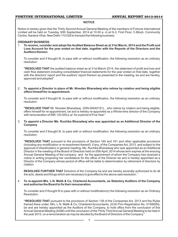#### **NOTICE**

Notice is hereby given that the Thirty Second Annual General Meeting of the members of Fortune International Limited will be held on Tuesday 30th September, 2014 at 10.00 a. m at G-3, First Floor, C-Block, Community Centre, Naraina Vihar, New Delhi-110 028 to transact the following business:

### **ORDINARY BUSINESS:**

1. **To receive, consider and adopt the Audited Balance Sheet as at 31st March, 2014 and the Profit and Loss Account for the year ended on that date, together with the Reports of the Directors and the Auditors thereon.**

To consider and if thought fit, to pass with or without modification, the following resolution as an ordinary resolution:

**"RESOLVED THAT** the audited balance sheet as at 31st March 2014, the statement of profit and loss and cash flow statement including consolidated financial statements for the year ended on that date, together with the directors' report and the auditors' report thereon as presented to the meeting, be and are hereby, approved and adopted".

#### 2. **To appoint a Director in place of Mr. Nivedan Bharadwaj who retires by rotation and being eligible offers himself for re-appointment.**

To consider and if thought fit, to pass with or without modification, the following resolution as an ordinary resolution:

**"RESOLVED THAT** Mr. Nivedan Bharadwaj (DIN-00040191), , who retires by rotation and being eligible, offers himself for re-appointment, be and is hereby re-appointed as a Whole-time director of the Company with remuneration of INR.120,000 p.a/- for a period of Five Year."

#### 3. **To appoint a Director Ms. Ruchika Bharadwaj who was appointed as an Additional Director of the Company**

To consider and if thought fit, to pass with or without modification, the following resolution as an ordinary resolution:

**"RESOLVED THAT** pursuant to the provisions of Section 160 and 161 and other applicable provisions (including any modification or re-enactment thereof), if any, of the Companies Act, 2013, and subject to the approval of shareholders in general meeting, Ms. Ruchika Bharadwaj who was appointed as an Additional Director in the meeting of the Board of Directors held on 05th April, 2014 whose term expires at the ensuing Annual General Meeting of the company and for the appointment of whom the Company has received a notice in writing proposing her candidature for the office of the Director be and is hereby appointed as a Director of the Company whose period of office will be liable to determination by retirement of directors by rotation.

**RESOLVED FURTHER THAT** Directors of the Company be and are hereby severally authorized to do all the acts, deeds and things which are necessary to give effect to the above said resolution."

#### 4. **To re-appoint M/s. L.N. Malik & Co, Chartered Accountants, as Statutory Auditors of the Company and authorise the Board to fix their remuneration.**

To consider and if thought fit to pass with or without modification(s) the following resolution as an Ordinary Resolution:

**"RESOLVED THAT** pursuant to the provisions of Section 139 of the Companies Act, 2013 and the Rules framed there under, M/s. L.N. Malik & Co, Chartered Accountants, (ICAI Firm Registration No. 015992N), be and are hereby appointed as the Auditors of the Company, to hold office from the conclusion of this Annual General Meeting (AGM) until the conclusion of the Thirty Third Annual General Meeting to be held in the year 2015, on a remuneration as may be decided by the Board of Directors of the Company."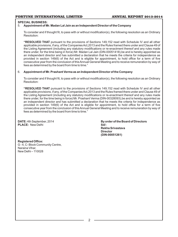### **SPECIAL BUSINESS:**

## 5. **Appointment of Mr. Madan Lal Jain as an Independent Director of the Company**

To consider and if thought fit, to pass with or without modification(s), the following resolution as an Ordinary Resolution:

**"RESOLVED THAT** pursuant to the provisions of Sections 149,152 read with Schedule IV and all other applicable provisions, if any, of the Companies Act,2013 and the Rules framed there under and Clause 49 of the Listing Agreement (including any statutory modifications or re-enactment thereof and any rules made there under, for the time being in force) Mr. Madan Lal Jain (DIN-00051418),be and is hereby appointed as an independent director and has submitted a declaration that he meets the criteria for independence as provided in section 149(6) of the Act and is eligible for appointment, to hold office for a term of five consecutive year from the conclusion of this Annual General Meeting and to receive remuneration by way of fees as determined by the board from time to time."

## 6. **Appointment of Mr. Prashant Verma as an Independent Director of the Company**

To consider and if thought fit, to pass with or without modification(s), the following resolution as an Ordinary Resolution:

**"RESOLVED THAT** pursuant to the provisions of Sections 149,152 read with Schedule IV and all other applicable provisions, if any, of the Companies Act,2013 and the Rules framed there under and Clause 49 of the Listing Agreement (including any statutory modifications or re-enactment thereof and any rules made there under, for the time being in force) Mr. Prashant Verma (DIN-00328093), be and is hereby appointed as an independent director and has submitted a declaration that he meets the criteria for independence as provided in section 149(6) of the Act and is eligible for appointment, to hold office for a term of five consecutive year from the conclusion of this Annual General Meeting and to receive remuneration by way of fees as determined by the board from time to time."

**PLACE: New Delhi** 

**DATE:** 4th September, 2014 **By order of the Board of Directors**<br> **PLACE:** New Delhi **Rekha Srivastava Director (DIN-00051261)**

# **Registered Office:**

G - 4, C- Block Community Centre, Naraina Vihar, New Delhi – 110028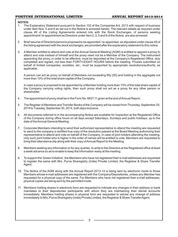# **NOTES:**

- 1. The Explanatory Statement pursuant to Section 102 of the Companies Act, 2013 with respect of business under Item Nos. 5 and 6 as set out in the Notice is annexed hereto. The relevant details as required under clause 49 of the Listing Agreements entered into with the Stock Exchanges, of persons seeking appointment/ re-appointment as Directors under Item 2, 3, 5 and 6 of the Notice, are also annexed.
- 2. Brief resume of Directors/persons proposed to be appointed / re-appointed, as stipulated under clause 49 of the listing agreement with the stock exchanges, are provided after the explanatory statement to this notice.
- 3. A Member entitled to attend and vote at the Annual General Meeting (AGM) is entitled to appoint a proxy to attend and vote instead of himself and the proxy need not be a Member of the Company. The instrument appointing the proxy, in order to be effective, must be deposited at the Company's Registered Office, duly completed and signed, not less than FORTY-EIGHT HOURS before the meeting. Proxies submitted on behalf of limited companies, societies, etc., must be supported by appropriate resolutions/authority, as applicable.

A person can act as proxy on behalf of Members not exceeding fifty (50) and holding in the aggregate not more than 10% of the total share capital of the Company.

In case a proxy is proposed to be appointed by a Member holding more than 10% of the total share capital of the Company carrying voting rights, then such proxy shall not act as a proxy for any other person or shareholder.

- 4. The appointment of proxy shall be in the Form No. MGT.11 given at the end of Annual Report.
- 5. The Register of Members and Transfer Books of the Company will be closed from Thursday, September 25, 2014 to Tuesday, September 30, 2014, both days inclusive.
- 6. All documents referred to in the accompanying Notice are available for inspection at the Registered Office of the Company during office hours on all days except Saturdays, Sundays and public holidays, up to the date of the Annual General Meeting.
- 7. Corporate Members intending to send their authorized representative to attend the meeting are requested to send to the company a certified true copy of the resolution passed at the Board Meeting authorizing their representative to attend and vote on behalf of the Company. In case of joint holders attending the meeting, only such joint holder who is higher in the order of names will be entitled to vote. Members are requested to bring their attendance slip along with their copy of Annual Report to the Meeting.
- 8. Members seeking any information or for any queries to write to the Directors at the Registered office at least a week advance so as to enable to keep the information ready at the meeting.
- 9. To support the 'Green Initiative', the Members who have not registered their e-mail addresses are requested to register the same with M/s. Purva Sharegistry (India) Private Limited, the Registrar & Share Transfer Agent.
- 10. The Notice of the AGM along with the Annual Report 2013-14 is being sent by electronic mode to those Members whose e-mail addresses are registered with the Company/Depositories, unless any Member has requested for a physical copy of the same. For Members who have not registered their e-mail addresses, physical copies are being sent by the permitted mode.
- 11. Members holding shares in electronic form are requested to intimate any changes in their address or bank mandates to their depositories participants with whom they are maintaining their demat accounts immediately. Members holding shares in physical form are requested to advise any change of address immediately to M/s. Purva Sharegistry (India) Private Limited, the Registrar & Share Transfer Agent.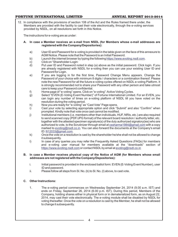12. In compliance with the provisions of section 108 of the Act and the Rules framed there under, the Members are provided with the facility to cast their vote electronically, through the e-voting services provided by NSDL, on all resolutions set forth in this Notice.

The instructions for e-voting are as under:

- **A. In case a Member receives an e-mail from NSDL (for Members whose e-mail addresses are registered with the Company/Depositories):**
	- a) User ID and Password for e-voting is provided in the table given on the face of this annexure to AGM Notice. Please note that the Password is an Initial Password.
	- b) Launch the internet browser by typing the following <https://www.evoting.nsdl.com>.
	- c) Click on "Shareholder-Login:
	- d) Put user ID and Password noted in step (a) above as the initial password. Click login. If you are already registered with NSDL for e-voting then you can use your existing User ID and Password for Login.
	- e) If you are logging in for the first time, Password Change Menu appears. Change the Password of your choice with minimum 8 digits / characters or a combination thereof. Please note the new Password for all the future e-voting cycles offered on NSDL e-voting Platform. It is strongly recommended not to share your Password with any other person and take utmost care to keep your Password confidential.
	- f) Home page of "e-voting" opens. Click on "e-voting": Active Voting Cycles.
	- g) Select "EVEN (E-Voting Event Number)" of Fortune International Limited. For an EVEN, you can login any number of times on e-voting platform of NSDL till you have voted on the resolution during the voting period.
	- h) Now you are ready for "e-voting" as "Cast Vote" Page opens.
	- i) Cast your vote by selecting appropriate option and click "Submit" and also "Confirm" when prompted. Kindly note that vote once cast cannot be modified.
	- j) Institutional members (i.e. members other than individuals, HUF, NRIs, etc.) are also required to send scanned copy (PDF/JPG format) of the relevant board resolution / authority letter, etc. together with the attested specimen signature(s) of the duly authorized signatory(ies) who are authorizedto vote, to the Scrutinizer through email at **cssharma1984@gmail.com** with a copy markedto evoting@nsdl.co.in. You can also forward the documents at the Company's email ID:fil12033@gmail.com.
	- k) Once the vote on a resolution is cast by the shareholder he/she shall not be allowed to change it subsequently.
	- l) In case of any queries you may refer the Frequently Asked Questions (FAQs) for members and e-voting user manual for members available at the "downloads" section of <u><https://www.evoting.nsdl.com></u> or contact NSDL by email at <u>[evoting@nsdl.co.in](mailto:evoting@nsdl.co.in)</u>

## **B. In case a Member receives physical copy of the Notice of AGM (for Members whose email addresses are not registered with the Company/Depositories):**

- i. Initial password is provided in the enclosed ballot form: EVEN (E-Voting Event Number), user ID and password.
- ii. Please follow all steps from Sl. No. (b) to Sl. No. (l) above, to cast vote.

# **C. Other Instructions:**

1. The e-voting period commences on Wednesday September 24, 2014 (9.00 a.m. IST) and ends on Friday, September 26, 2014 (6.00 p.m. IST). During this period, Members of the Company, holding shares either in physical form or in dematerialized form, as on August 22, 2014, may cast their vote electronically. The e-voting module shall be disabled by NSDL for voting thereafter. Once the vote on a resolution is cast by the Member, he shall not be allowed to change it subsequently.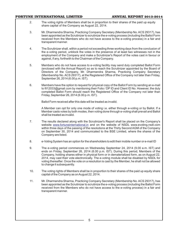- 2. The voting rights of Members shall be in proportion to their shares of the paid up equity share capital of the Company as August 22, 2014.
- 3. Mr. Dharmendra Sharma, Practicing Company Secretary (Membership No. ACS 29317), has been appointed as the Scrutinizer to scrutinize the e-voting process (including the Ballot Form received from the Members who do not have access to the e-voting process) in a fair and transparent manner.
- 4. The Scrutinizer shall, within a period not exceeding three working days from the conclusion of the e-voting period, unblock the votes in the presence of at least two witnesses not in the employment of the Company and make a Scrutinizer's Report of the votes cast in favour or against, if any, forthwith to the Chairman of the Company.
- 5. Members who do not have access to e-voting facility may send duly completed Ballot Form (enclosed with the Annual Report) so as to reach the Scrutinizer appointed by the Board of Directors of the Company, Mr. Dharmendra Sharma, Practicing Company Secretary (Membership No. ACS 29317), at the Registered Office of the Company not later than Friday, September 26, 2014 (6.00 p.m. IST).
- 6. Members have the option to request for physical copy of the Ballot Form by sending an e-mail to fil12033@gmail.com by mentioning their Folio / DP ID and Client ID No. However, the duly completed Ballot Form should reach the Registered Office of the Company not later than Friday, September 26, 2014 (6.00 p.m. IST).

Ballot Form received after this date will be treated as invalid.

A Member can opt for only one mode of voting i.e. either through e-voting or by Ballot. If a Member casts votes by both modes, then voting done through e-voting shall prevail and Ballot shall be treated as invalid.

- 7. The results declared along with the Scrutinizer's Report shall be placed on the Company's website www.fortuneinternational.in and on the website of NSDL www.evoting.nsdl.com within three days of the passing of the resolutions at the Thirty Second AGM of the Company on September 30, 2014 and communicated to the BSE Limited, where the shares of the Company are listed.
- 8. e-Voting System has an option for the shareholders to edit their mobile number or e-mail ID
- 9. The e-voting period commences on Wednesday September 24, 2014 (9.00 a.m. IST) and ends on Friday, September 26, 2014 (6.00 p.m. IST). During this period, Members of the Company, holding shares either in physical form or in dematerialized form, as on August 22, 2014, may cast their vote electronically. The e-voting module shall be disabled by NSDL for voting thereafter. Once the vote on a resolution is cast by the Member, he shall not be allowed to change it subsequently.
- 10. The voting rights of Members shall be in proportion to their shares of the paid up equity share capital of the Company as on August 22, 2014.
- 11. Mr. Dharmendra Sharma, Practicing Company Secretary (Membership No. ACS 29317), has been appointed as the Scrutinizer to scrutinize the e-voting process (including the Ballot Form received from the Members who do not have access to the e-voting process) in a fair and transparent manner.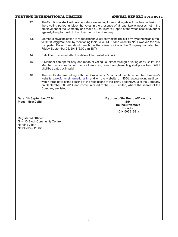- 12. The Scrutinizer shall, within a period not exceeding three working days from the conclusion of the e-voting period, unblock the votes in the presence of at least two witnesses not in the employment of the Company and make a Scrutinizer's Report of the votes cast in favour or against, if any, forthwith to the Chairman of the Company.
	- 13. Members have the option to request for physical copy of the Ballot Form by sending an e-mail to fil12033@gmail.com by mentioning their Folio / DP ID and Client ID No. However, the duly completed Ballot Form should reach the Registered Office of the Company not later than Friday, September 26, 2014 (6.00 p.m. IST).
	- 14. Ballot Form received after this date will be treated as invalid.
	- 15. A Member can opt for only one mode of voting i.e. either through e-voting or by Ballot. If a Member casts votes by both modes, then voting done through e-voting shall prevail and Ballot shall be treated as invalid.
	- 16. The results declared along with the Scrutinizer's Report shall be placed on the Company's website www.fortuneinternational.in and on the website of NSDL www.evoting.nsdl.com within three days of the passing of the resolutions at the Thirty Second AGM of the Company on September 30, 2014 and communicated to the BSE Limited, where the shares of the Company are listed

**Place: New Delhi** 

**Date: 4th September, 2014 By order of the Board of Directors Rekha Srivastava Director (DIN-00051261)**

**Registered Office:** G - 4, C- Block Community Centre, Naraina Vihar, New Delhi – 110028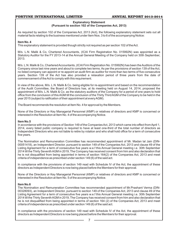# **Explanatory Statement (Pursuant to section 102 of the Companies Act, 2013)**

As required by section 102 of the Companies Act, 2013 (Act), the following explanatory statement sets out all material facts relating to the business mentioned under Item Nos. 3 to 6 of the accompanying Notice:

# **Item No. 4**

This explanatory statement is provided though strictly not required as per section 102 of the Act.

M/s. L.N. Malik & Co, Chartered Accountants, (ICAI Firm Registration No. 015992N) was appointed as a Statutory Auditor for the FY 2013-14 at the Annual General Meeting of the Company held on 30th September, 2013.

M/s. L.N. Malik & Co, Chartered Accountants, (ICAI Firm Registration No. 015992N) has been the Auditors of the Company since last nine years and about to complete two terms. As per the provisions of section 139 of the Act, no listed company can appoint or re-appoint an audit firm as auditor for more than two terms of five consecutive years. Section 139 of the Act has also provided a relaxation period of three years from the date of commencement of the Act to comply with this requirement.

In view of the above, M/s. L.N. Malik & Co. being eligible for re-appointment and based on the recommendation of the Audit Committee, the Board of Directors has, at its meeting held on August 14, 2014, proposed the appointment of M/s. L.N. Malik & Co. as the statutory auditors of the Company for a period of one years to hold office from the conclusion of this AGM till the conclusion of the Thirty Third AGM of the Company to be held in the year 2015 (subject to ratification of their appointment at every AGM).

The Board recommends the resolution at Item No. 4 for approval by the Members.

None of the Directors or Key Managerial Personnel (KMP) or relatives of directors and KMP is concerned or interested in the Resolution at Item No. 4 of the accompanying Notice.

# **Item No.5**

In accordance with the provisions of Section 149 of the Companies Act, 2013 which came into effect from April 1, 2014, every listed public company is required to have at least one-third of the total number of directors as Independent Directors who are not liable to retire by rotation and who shall hold office for a term of consecutive five years.

The Nomination and Remuneration Committee has recommended appointment of Mr. Madan lal Jain (DIN-00051418), an Independent Director, pursuant to section 149 of the Companies Act, 2013 and clause 49 of the Listing Agreement for a term of consecutive five years w.e.f this Annual General meeting i.e. 30th September 2014 till the Thirty Seventh AGM in 2019, The Company has received consent from him and also declaration that he is not disqualified from being appointed in terms of section 164(2) of the Companies Act, 2013 and meet criteria of independence as prescribed under section 149 (6) of the said act.

In compliance with the provisions of section 149 read with Schedule IV of the Act, the appointment of these directors as Independent Directors is now being placed before the Members for their approval.

None of the Directors or Key Managerial Personnel (KMP) or relatives of directors and KMP is concerned or interested in the Resolution at Item No. 5 of the accompanying Notice.

# **Item No.6**

The Nomination and Remuneration Committee has recommended appointment of Mr.Prashant Verma (DIN-00328093), an Independent Director, pursuant to section 149 of the Companies Act, 2013 and clause 49 of the Listing Agreement for a term of consecutive five years w.e.f this Annual General meeting i.e. 30th September 2014 till the Thirty Seventh AGM in 2019, The Company has received consent from him and also declaration that he is not disqualified from being appointed in terms of section 164 (2) of the Companies Act, 2013 and meet criteria of independence as prescribed under section 149 (6) of the said act.

In compliance with the provisions of section 149 read with Schedule IV of the Act, the appointment of these directors as Independent Directors is now being placed before the Members for their approval.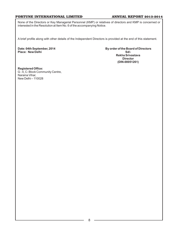None of the Directors or Key Managerial Personnel (KMP) or relatives of directors and KMP is concerned or interested in the Resolution at Item No. 6 of the accompanying Notice.

A brief profile along with other details of the Independent Directors is provided at the end of this statement.

**Place: New Delhi** 

**Date: 04th September, 2014 By order of the Board of Directors Rekha Srivastava Director (DIN-00051261)**

**Registered Office:** G - 4, C- Block Community Centre, Naraina Vihar, New Delhi – 110028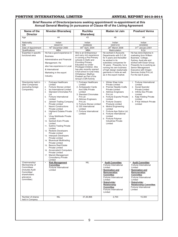# **Brief Resume of Directors/persons seeking appointment/ re-appointment at this Annual General Meeting (in pursuance of Clause 49 of the Listing Agreement**

| Name of the<br><b>Director</b>                                              | Nivedan Bharadwaj                                                                                                                                                                                                                                                                                                                                                                                                                                                                                                                                                                                                                                                                                                                                                                                              | Ruchika<br><b>Bharadwai</b>                                                                                                                                                                                                                                             | Madan lal Jain                                                                                                                                                                                                                                                                                                                                                                                               | <b>Prashant Verma</b>                                                                                                                                                                                  |
|-----------------------------------------------------------------------------|----------------------------------------------------------------------------------------------------------------------------------------------------------------------------------------------------------------------------------------------------------------------------------------------------------------------------------------------------------------------------------------------------------------------------------------------------------------------------------------------------------------------------------------------------------------------------------------------------------------------------------------------------------------------------------------------------------------------------------------------------------------------------------------------------------------|-------------------------------------------------------------------------------------------------------------------------------------------------------------------------------------------------------------------------------------------------------------------------|--------------------------------------------------------------------------------------------------------------------------------------------------------------------------------------------------------------------------------------------------------------------------------------------------------------------------------------------------------------------------------------------------------------|--------------------------------------------------------------------------------------------------------------------------------------------------------------------------------------------------------|
| Age                                                                         | 44                                                                                                                                                                                                                                                                                                                                                                                                                                                                                                                                                                                                                                                                                                                                                                                                             | 43                                                                                                                                                                                                                                                                      | 49                                                                                                                                                                                                                                                                                                                                                                                                           | 49                                                                                                                                                                                                     |
|                                                                             |                                                                                                                                                                                                                                                                                                                                                                                                                                                                                                                                                                                                                                                                                                                                                                                                                |                                                                                                                                                                                                                                                                         |                                                                                                                                                                                                                                                                                                                                                                                                              |                                                                                                                                                                                                        |
| Nationality                                                                 | Indian                                                                                                                                                                                                                                                                                                                                                                                                                                                                                                                                                                                                                                                                                                                                                                                                         | <b>Indian</b>                                                                                                                                                                                                                                                           | Indian                                                                                                                                                                                                                                                                                                                                                                                                       | Indian                                                                                                                                                                                                 |
| DIN                                                                         | 00040191                                                                                                                                                                                                                                                                                                                                                                                                                                                                                                                                                                                                                                                                                                                                                                                                       | 00288459                                                                                                                                                                                                                                                                | 00051418                                                                                                                                                                                                                                                                                                                                                                                                     | 00328093                                                                                                                                                                                               |
| Date of Appointment                                                         | 16 <sup>th</sup> December 2000                                                                                                                                                                                                                                                                                                                                                                                                                                                                                                                                                                                                                                                                                                                                                                                 | 05 <sup>th</sup> April, 2004                                                                                                                                                                                                                                            | 29th March 2008                                                                                                                                                                                                                                                                                                                                                                                              | 31 <sup>st</sup> January 2001                                                                                                                                                                          |
| Qualifications                                                              | <b>MBA</b>                                                                                                                                                                                                                                                                                                                                                                                                                                                                                                                                                                                                                                                                                                                                                                                                     | <b>MBA</b>                                                                                                                                                                                                                                                              | Matriculation                                                                                                                                                                                                                                                                                                                                                                                                | B.Sc                                                                                                                                                                                                   |
| Expertise in specific                                                       | He has a good experience in                                                                                                                                                                                                                                                                                                                                                                                                                                                                                                                                                                                                                                                                                                                                                                                    | She is an Entrepreneur                                                                                                                                                                                                                                                  | He worked in Accounts                                                                                                                                                                                                                                                                                                                                                                                        | He has done Diploma in                                                                                                                                                                                 |
| functional area                                                             | <b>Business</b>                                                                                                                                                                                                                                                                                                                                                                                                                                                                                                                                                                                                                                                                                                                                                                                                | and carry rich experience<br>in running a Pre-Primary                                                                                                                                                                                                                   | Departments with D.C.M<br>for 4 years and thereafter                                                                                                                                                                                                                                                                                                                                                         | marketing from William<br>Business College,                                                                                                                                                            |
|                                                                             | Administrative and Financial                                                                                                                                                                                                                                                                                                                                                                                                                                                                                                                                                                                                                                                                                                                                                                                   | schools In Delhi and                                                                                                                                                                                                                                                    | he worked in its                                                                                                                                                                                                                                                                                                                                                                                             | Sydney, Australia and                                                                                                                                                                                  |
|                                                                             | Management. He                                                                                                                                                                                                                                                                                                                                                                                                                                                                                                                                                                                                                                                                                                                                                                                                 | <b>Providing Primary</b>                                                                                                                                                                                                                                                | subsidiary companies for                                                                                                                                                                                                                                                                                                                                                                                     | worked with Essar Group.                                                                                                                                                                               |
|                                                                             |                                                                                                                                                                                                                                                                                                                                                                                                                                                                                                                                                                                                                                                                                                                                                                                                                | Education to Under                                                                                                                                                                                                                                                      | 16 years. Presently, he is                                                                                                                                                                                                                                                                                                                                                                                   | Presently he is working as                                                                                                                                                                             |
|                                                                             | also has experience in Local                                                                                                                                                                                                                                                                                                                                                                                                                                                                                                                                                                                                                                                                                                                                                                                   | Privileged Children. She                                                                                                                                                                                                                                                | running his own business                                                                                                                                                                                                                                                                                                                                                                                     | Senior Management                                                                                                                                                                                      |
|                                                                             | & International                                                                                                                                                                                                                                                                                                                                                                                                                                                                                                                                                                                                                                                                                                                                                                                                | has also recently opened<br>A full school in rural India;                                                                                                                                                                                                               | of high design readymade                                                                                                                                                                                                                                                                                                                                                                                     | Executive with Oxigen                                                                                                                                                                                  |
|                                                                             | Marketing in the export                                                                                                                                                                                                                                                                                                                                                                                                                                                                                                                                                                                                                                                                                                                                                                                        | Chhatarpur, Madhya                                                                                                                                                                                                                                                      | garments in India as well                                                                                                                                                                                                                                                                                                                                                                                    | Services (India) Pvt.Ltd.                                                                                                                                                                              |
|                                                                             | Industry.                                                                                                                                                                                                                                                                                                                                                                                                                                                                                                                                                                                                                                                                                                                                                                                                      | Pradesh as Part of the                                                                                                                                                                                                                                                  | as in the export market.                                                                                                                                                                                                                                                                                                                                                                                     | For the last 8 years.                                                                                                                                                                                  |
|                                                                             |                                                                                                                                                                                                                                                                                                                                                                                                                                                                                                                                                                                                                                                                                                                                                                                                                | Group's CSR Activity                                                                                                                                                                                                                                                    |                                                                                                                                                                                                                                                                                                                                                                                                              |                                                                                                                                                                                                        |
| Directorship held in<br>other Companies<br>(excluding foreign<br>Companies) | Fortcaps Healthcare<br>1.<br>Limited<br>Fortune Stones Limited<br>2.<br>Iss International Limited<br>3.<br><b>Standard Chromates Pvt</b><br>4.<br>Ltd<br>Fortune International<br>5.<br>Limited<br>Jainesh Trading Company<br>6.<br><b>Private Limited</b><br>Naomi Constructions<br>7.<br>Private Limited<br><b>Highland Estates Private</b><br>8.<br>Ltd<br>Vinay Multitrade Private<br>9.<br>Limited<br>10. Santosh Exim Private<br>Limited<br>11. Subhra Trading Private<br>Limited<br>12. Redwire Developers<br>Private Limited<br>13. Interpack Developers<br><b>Private Limited</b><br>14. Bluevisual Multitrading<br><b>Private Limited</b><br>15. Besons Real Estate<br>Private Limited<br>16. Anvancetech Computers<br><b>Private Limited</b><br>17. Manish Management<br><b>Consultancy Private</b> | 1. Fortcaps Healthcare<br>Limited<br>2. Ambassador Cards<br>And Gifts Private<br>Limited<br>3. Standard Chromates<br>Pvt Ltd<br>4. Abhinav Engineers<br>Pvt.Ltd.<br>5. Fortune Stones Limited<br>6. ISS International<br>Limited<br>7. Fortune International<br>Limited | Winter Wear India<br>1.<br><b>Private Limited</b><br>2. Premier Needle Crafts<br><b>Private Limited</b><br>3. Abhinav Engineers<br>Pvt.Ltd.<br>4. Fortune Exports Private<br>Limited<br>5. Fortune Oceanic<br><b>Products Limited</b><br>6. Molind Engineering<br>Limited<br>7. Fortune Apa Optics Ltd.<br>8. Fortune International<br>Limited<br>9. Fortune Polymer<br><b>Industries Private</b><br>Limited | 1. Fortune International<br>Limited<br>2. Social Spender<br><b>Private Limited</b><br>3. Infinity Sez Private<br>Limited<br>4. Kalp Holding Private<br>Limited<br>5. P-Kal Infotech Private<br>Limited |
| Chairmanship/                                                               | Limited<br><b>Risk Management</b>                                                                                                                                                                                                                                                                                                                                                                                                                                                                                                                                                                                                                                                                                                                                                                              | <b>NIL</b>                                                                                                                                                                                                                                                              | <b>Audit Committee</b>                                                                                                                                                                                                                                                                                                                                                                                       | <b>Audit Committee</b>                                                                                                                                                                                 |
| Membership of                                                               | Committee                                                                                                                                                                                                                                                                                                                                                                                                                                                                                                                                                                                                                                                                                                                                                                                                      |                                                                                                                                                                                                                                                                         | Fortune International                                                                                                                                                                                                                                                                                                                                                                                        | Fortune International                                                                                                                                                                                  |
| Committees                                                                  | Fortune International                                                                                                                                                                                                                                                                                                                                                                                                                                                                                                                                                                                                                                                                                                                                                                                          |                                                                                                                                                                                                                                                                         | Limited                                                                                                                                                                                                                                                                                                                                                                                                      | Limited                                                                                                                                                                                                |
| (includes Audit                                                             | Limited                                                                                                                                                                                                                                                                                                                                                                                                                                                                                                                                                                                                                                                                                                                                                                                                        |                                                                                                                                                                                                                                                                         | Nomination and                                                                                                                                                                                                                                                                                                                                                                                               | Nomination and                                                                                                                                                                                         |
| Committee/                                                                  |                                                                                                                                                                                                                                                                                                                                                                                                                                                                                                                                                                                                                                                                                                                                                                                                                |                                                                                                                                                                                                                                                                         | Remuneration                                                                                                                                                                                                                                                                                                                                                                                                 | Remuneration                                                                                                                                                                                           |
| shareholders                                                                |                                                                                                                                                                                                                                                                                                                                                                                                                                                                                                                                                                                                                                                                                                                                                                                                                |                                                                                                                                                                                                                                                                         | Committee                                                                                                                                                                                                                                                                                                                                                                                                    | Committee                                                                                                                                                                                              |
| grievance<br>committee)                                                     |                                                                                                                                                                                                                                                                                                                                                                                                                                                                                                                                                                                                                                                                                                                                                                                                                |                                                                                                                                                                                                                                                                         | Fortune International                                                                                                                                                                                                                                                                                                                                                                                        | Fortune International                                                                                                                                                                                  |
|                                                                             |                                                                                                                                                                                                                                                                                                                                                                                                                                                                                                                                                                                                                                                                                                                                                                                                                |                                                                                                                                                                                                                                                                         | Limited                                                                                                                                                                                                                                                                                                                                                                                                      | Limited                                                                                                                                                                                                |
|                                                                             |                                                                                                                                                                                                                                                                                                                                                                                                                                                                                                                                                                                                                                                                                                                                                                                                                |                                                                                                                                                                                                                                                                         | Stakeholder<br>Relationship                                                                                                                                                                                                                                                                                                                                                                                  | Stakeholder<br><b>Relationship Committee</b>                                                                                                                                                           |
|                                                                             |                                                                                                                                                                                                                                                                                                                                                                                                                                                                                                                                                                                                                                                                                                                                                                                                                |                                                                                                                                                                                                                                                                         | Committee                                                                                                                                                                                                                                                                                                                                                                                                    | Fortune International                                                                                                                                                                                  |
|                                                                             |                                                                                                                                                                                                                                                                                                                                                                                                                                                                                                                                                                                                                                                                                                                                                                                                                |                                                                                                                                                                                                                                                                         | Fortune International                                                                                                                                                                                                                                                                                                                                                                                        | Limited                                                                                                                                                                                                |
|                                                                             |                                                                                                                                                                                                                                                                                                                                                                                                                                                                                                                                                                                                                                                                                                                                                                                                                |                                                                                                                                                                                                                                                                         | Limited                                                                                                                                                                                                                                                                                                                                                                                                      |                                                                                                                                                                                                        |
|                                                                             |                                                                                                                                                                                                                                                                                                                                                                                                                                                                                                                                                                                                                                                                                                                                                                                                                |                                                                                                                                                                                                                                                                         |                                                                                                                                                                                                                                                                                                                                                                                                              |                                                                                                                                                                                                        |
| Number of shares<br>held in Company                                         | <b>NIL</b>                                                                                                                                                                                                                                                                                                                                                                                                                                                                                                                                                                                                                                                                                                                                                                                                     | 37,26,868                                                                                                                                                                                                                                                               | 2.700                                                                                                                                                                                                                                                                                                                                                                                                        | 15,300                                                                                                                                                                                                 |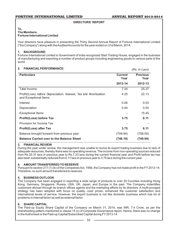*(Rs. in Lacs)*

# **DIRECTORS' REPORT**

#### **To, The Members, Fortune International Limited**

Your directors have pleasure in presenting the Thirty Second Annual Report of Fortune International Limited ("the Company") along with the Audited Accounts for the year ended on 31st March, 2014.

# **1. BACKGROUND**

Fortune International Limited is Government of India recognized Start Trading House, engaged in the business of manufacturing and exporting a number of product groups including engineering goods to various parts of the world.

# **2. FINANCIALPERFORMANCE:**

|                                                                                            |                        | $1119.11$ Lavo)         |
|--------------------------------------------------------------------------------------------|------------------------|-------------------------|
| <b>Particulars</b>                                                                         | <b>Current</b><br>Year | <b>Previous</b><br>Year |
|                                                                                            | 2013-14                | 2012-13                 |
| <b>Total Income</b>                                                                        | 7.24                   | 25.37                   |
| Profit/(Loss) before Depreciation, Interest, Tax and Amortization<br>and Exceptional Items | 4.25                   | 22.13                   |
| Interest                                                                                   | 0.06                   | 0.03                    |
| Depreciation                                                                               | 0.44                   | 0.54                    |
| <b>Exceptional Items</b>                                                                   |                        | 15.45                   |
| Profit/(Loss) before Tax                                                                   | 3.75                   | 6.11                    |
| Provision for Income Tax                                                                   |                        |                         |
| <b>Profit/(Loss) after Tax</b>                                                             | 3.75                   | 6.11                    |
| Balance brought forward from previous year                                                 | (749.94)               | (758.05)                |
| <b>Balance Carried over to the Balance Sheet</b>                                           | (746.19)               | (749.94)                |

# **3. FINANCIAL REVIEW**

During the year under review, the management was unable to revive its export trading business due to lack of adequate resources, thereby there was no operating revenue. The income from non-operating sources reduced from Rs.25.37 lacs in previous year to Rs.7.23 lacs during the current financial year and Profit before tax has also been substantially reduced from 6.11 lacs in previous year to 3.75 lacs during the current year.

# **4. AMOUNT TRANSFERRED TO RESERVE**

Pursuant to section 217 (1) (b) of the Companies Act, 1956, the Company has not made profit in the FY2013-14. Therefore, no such amount transferred to reserves

# **5. BUSINESS OUTLOOK**

The Company has been engaged in exporting a wide range of products to over 20 Counties including Hong Kong, Germany, Singapore, Russia, USA, UK, Japan, and Europe in the past. The Company indentifies customers abroad through its branch offices agents and the marketing efforts by its directors. A multi-pronged strategy has been adopted with focus on quality, cost/ prices, enhanced the customer satisfaction and international levels of service. However, the export business is not like domestic business which has lot of problems in internal factor as well as external factor.

# **6. SHARE CAPITAL**

The Paid-up Equity Share Capital of the Company on March 31, 2014, was INR. 7.4 Crore, as per the shareholding pattern mentioned in clause 15 (c) of Corporate Governance report. Hence, there was no change in the Authorised or the Paid-up Capital/Subscribed Capital during FY2013-14.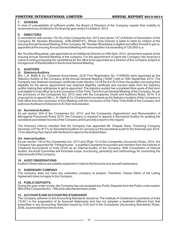# **7. DIVIDEND**

In view of unavailability of sufficient profits, the Board of Directors of the Company regrets their inability to recommend any dividend for the financial year ended 31st March, 2014.

# **8. DIRECTORS**

In accordance with section 152 (6) of the Companies Act, 2013 and clause 127 of Articles of Association of the Company, Mr. Nivedan Bharadwaj (DIN-00040191), Whole-Time Director is liable to retire by rotation at the ensuing Annual General Meeting of the Company. Mr. Nivedan Bharadwaj is eligible and offers himself to get reappointed at the ensuing Annual General Meeting with remuneration not exceeding of 120,000/-p.a.

Ms. Ruchika Bharadwaj, was appointed as an Additional Director on 05th April, 2014, whose term expires at the ensuing Annual General Meeting of the company. For the appointment of same the Company has received a notice in writing proposing her candidature for the office to be appointed as a Director of the Company subject to the approval of shareholders in the Annual General Meeting

# **9. AUDITORS**

# **(i) Statutory Auditors**

M/s. L.N. Malik & Co, Chartered Accountants, (ICAI Firm Registration No. 015992N) were appointed as the Statutory Auditor of the Company at the Annual General Meeting ("AGM") held on 30th September 2013. The Company has obtained necessary certificate under Section 141of the Act 2013 from the auditor conveying their eligibility for the above appointment has obtained eligibility certificate and consent letter from the statutory auditor stating their willingness to get re-appointed. The statutory auditor has completed Nine years of their term and eligible to hold office up to the conclusion of the Thirty Third Annual General Meeting of the Company. As per the provisions of the Companies Act, 2013 read with the Companies (Audit and Auditors) Rules, 2014, it is proposed to re-appoint M/s. L.N. Malik & Co, Chartered Accountants as the Statutory Auditors of the Company to hold office from the conclusion of this Meeting until the conclusion of the Thirty Third AGM of the Company and authorize the Board of Directors to fix their remuneration.

## **(ii) Secretarial Auditor**

As per section 204 of the Companies Act, 2013, and the Companies (Appointment and Remuneration of Managerial Personnel) Rules 2014, the Company is required to appoint a Secretarial Auditor for auditing the secretarial and related records of the Company and to provide a report in this regard.

The Directors informs member that the Company has appointed Mr. Deepak Rane, Practicing Company Secretary (CP No.8717) as Secretarial Auditors for carrying out the secretarial audit for the financial year 2014- 15 for attaching their report with the Board's report to the shareholders.

# **(iii) Internal Auditor**

As per section 138 of the Companies Act, 2013 and (Rule 13) of the Companies (Accounts) Rules, 2014, the Company has appointed Mr. Pankaj Kumar, a qualified Chartered Accountant and member from the Institute of Chartered Accountants of India (ICAI) as an Internal Auditor of the Company. With Consultation of Internal Auditor, the Audit Committee will formulate scope, functioning, periodicity and methodology for conducting the internal audit of the Company.

# **10. AUDIT OBSERVATIONS**

Auditors Observations are suitably explained in notes to the Accounts and are self-explanatory.

# **11. SUBSIDIARY COMPANY**

The company does not have any subsidiary company at present. Therefore, Clause 49(III) of the Listing Agreement does not apply to the Company.

# **12. PUBLIC DEPOSITS:**

During the year under review, the Company has not accepted any Public Deposits from the Public under section 58Aof the Companies Act, 1956 and rules framed there under.

# **13. ACCOUNTS AND ACCOUNTING STANDARDS**

The Company adheres to the Accounting Standards issued by The Institute of Chartered Accountants of India ("ICAI") in the preparation of its financial statements and has not adopted a treatment different from that prescribed in any Accounting Standard issued by ICAI and in the Companies (Accounting Standards) Rules, 2006, as amended from time to time.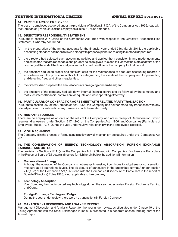#### **14. PARTICULARS OF EMPLOYEES**

There are no employees covered under the provisions of Section 217 (2A) of the Companies Act, 1956, read with the Companies (Particulars of the Employees) Rules, 1975 as amended.

# **15. DIRECTOR'S RESPONSIBILITYSTATEMENT**

Pursuant to section 217 (2AA) of the Companies Act, 1956 with respect to the Director's Responsibilities Statement, it is hereby confirmed:

- (a) in the preparation of the annual accounts for the financial year ended 31st March, 2014, the applicable accounting standard had been followed along with proper explanation relating to material departures;
- (b) the directors had selected such accounting policies and applied them consistently and made judgments and estimates that are reasonable and prudent so as to give a true and fair view of the state of affairs of the company at the end of the financial year and of the profit and loss of the company for that period;
- (c) the directors had taken proper and sufficient care for the maintenance of adequate accounting records in accordance with the provisions of this Act for safeguarding the assets of the company and for preventing and detecting fraud and other irregularities;
- (d) the directors had prepared the annual accounts on a going concern basis; and
- (e) the directors of the company had laid down internal financial controls to be followed by the company and that such internal financial controls are adequate and were operating effectively.

# **16. PARTICULARS OF CONTRACT OR AGREEMENT WITH RELATED PARTYTRANSACTION**

Pursuant to section 297 of the Companies Act, 1956, the Company has neither made any transaction with any related party and nor entered into any transaction with the related party

## **17. HUMAN RESOURCES**

There are no employees as on date on the rolls of the Company who are in receipt of Remuneration which requires disclosures under Section 217 (2A) of the Companies Act, 1956 and Companies (Particulars of Employees) Rules, 1975. During the year under review, relationship with the employees is cordial.

# **18. VIGIL MECHANISM**

The Company is in the process of formulating a policy on vigil mechanism as required under the Companies Act 2013.

## **19. THE CONSERVATION OF ENERGY, TECHNOLOGY ABSORPTION, FOREIGN EXCHANGE EARNINGS AND OUTGO**

The provision of Section 217(1) (e) of the Companies Act, 1956 read with Companies (Disclosure of Particulars in the Report of Board of Directors), directors furnish herein below the additional information

#### **a. Conservation of Energy**

Although the operation of the Company is not energy intensive, it continues to adopt energy conservation measure at all operational levels. The disclosure of particulars in the prescribed format A under section 217(1)(e) of the Companies Act,1956 read with the Companies (Disclosure of Particulars in the report of Board of Directors) Rules 1988, is not applicable to the company.

#### **b. Technology Absorption**

Your Company has not imported any technology during the year under review Foreign Exchange Earning and Outgo.

# **c. Foreign Exchange Earning and Outgo**

During the year under review, there were no transactions in Foreign Currency.

# **20. MANAGEMENT DISCUSSION AND ANALYSIS REPORT**

Management Discussion and Analysis Report for the year under review, as stipulated under Clause 49 of the Listing Agreement with the Stock Exchanges in India, is presented in a separate section forming part of the Annual Report.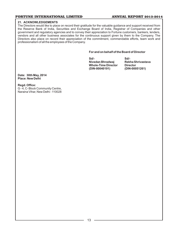#### **21. ACKNOWLEDGEMENTS**

The Directors would like to place on record their gratitude for the valuable guidance and support received from the Reserve Bank of India, Securities and Exchange Board of India, Registrar of Companies and other government and regulatory agencies and to convey their appreciation to Fortune customers, bankers, lenders, vendors and all other business associates for the continuous support given by them to the Company. The Directors also place on record their appreciation of the commitment, commendable efforts, team work and professionalism of all the employees of the Company.

# **For and on behalf of the Board of Director**

**Sd/- Sd/- Whole-Time Director Director (DIN-00040191) (DIN-00051261)**

**Rekha Shrivastava**<br>Director

**Date: 30th May, 2014 Place: New Delhi** 

**Regd. Office:**

G - 4, C- Block Community Centre, Naraina Vihar, New Delhi - 110028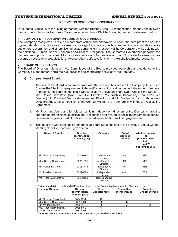#### **REPORT ON CORPORATE GOVERNANCE**

Pursuant to Clause 49 of the listing agreement with the Bombay Stock Exchanges the Company has followed the norms and clauses of Corporate Governance under clause 49 of the Listing Agreement, as followed below:

#### **1. COMPANY'S PHILOSOPHYON CODE OF GOVERNANCE**

The Company recognizes its role as a corporate citizen and endeavors to adopt the best practices and the highest standards of corporate governance through transparency in business ethics, accountability to its customers, government and others. It emphasizes on long term prosperity of the Corporations while abiding with their National, Human, Social, Economic and Political Obligation. The Corporate Governance principle has become an important constituent for corporate success. The practice of good Corporate Governance has become a necessary prerequisite for any corporation to effective function in the globalised market scenario.

#### **2. BOARD OF DIRECTORS**

The Board of Directors, along with the Committees of the Board, provides leadership and guidance to the Company's Management and directs, supervises and controls the activities of the Company.

#### **a) Composition of Board:**

- i. The size of the Board is commensurate with the size and business of the Company. In terms of Clause 49 of the Listing Agreement, to have fifty per cent of its directors as independent directors. At present, the Board comprises 5 Directors viz. Mr. Nivedan Bharadwaj (Whole-Time Director), Mrs. Rekha Srivastava (Non- Executive Director), Ms. Ruchika Bharadwaj (Non- Executive Director) Mr. Prashant Verma (Independent Director) and Mr. Madan lal Jain (Independent Director). Thus, the composition of the Company's board is in conformity with the 3.II A of Listing Agreement.
- ii. Mr. Prashant Verma and Mr. Madan lal Jain, Independent directors of the Company, have the appropriate professional qualifications, accounting and related financial management expertise, detail resume given in part of Notice as required under the 3.II B of Listing Agreement.
- iii. The details of Directors, their attendance at Board Meetings and at the previous Annual General Meeting of the Company are, given below

| <b>Name of Director</b> | <b>Director</b><br><b>Identification</b><br>Number (DIN) | Category                  | <b>Board</b><br><b>Meetings</b><br><b>Attended</b> | <b>Whether present</b><br>аt<br>previous AGM<br>held<br>on $30th$<br>September 2013 |
|-------------------------|----------------------------------------------------------|---------------------------|----------------------------------------------------|-------------------------------------------------------------------------------------|
| Mr. Nivedan Bharadwai   | 00040191                                                 | Whole-time<br>director    | 4/4                                                | <b>YES</b>                                                                          |
| Mrs. Rekha Shrivastava  | 00051261                                                 | Non-Executive<br>Director | 4/4                                                | <b>YES</b>                                                                          |
| Mr. Madan Lal Jain      | 00051418                                                 | Independent<br>Director   | 4/4                                                | <b>YES</b>                                                                          |
| Mr. Prashant Verma      | 00328093                                                 | Independent<br>Director   | 4/4                                                | <b>YES</b>                                                                          |
| Ms. Ruchika Bharadwaj   | 00288459                                                 | Non-Executive<br>Director |                                                    |                                                                                     |

Further the detail of the Board of Directors directorships, Committee Membership, Chairmanships**:**

| <b>Name of Director</b> | <b>Director</b><br><b>Identification</b><br>Number (DIN) | <b>Other</b><br>Directorships* | <b>Committee</b><br><b>Memberships</b> | <b>Committee</b><br>Chairmanships |
|-------------------------|----------------------------------------------------------|--------------------------------|----------------------------------------|-----------------------------------|
| Mr. Nivedan Bharadwai   | 00040191                                                 | 16                             |                                        |                                   |
| Mrs. Rekha Shrivastava  | 00051261                                                 |                                |                                        |                                   |
| Mr. Madan Lal Jain      | 00051418                                                 |                                |                                        |                                   |
| Ms. Ruchika Bharadwai   | 00288459                                                 |                                |                                        |                                   |
| Mr. Prashant Verma      | 00328093                                                 |                                |                                        |                                   |

*\* includes private companies and companies incorporated outside India.*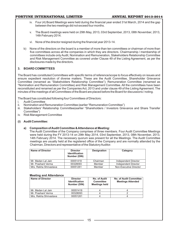- iv. Four (4) Board Meetings were held during the financial year ended 31st March, 2014 and the gap between the two meetings did not exceed four months.
- v. The Board meetings were held on 29th May, 2013, 03rd September, 2013, 08th November, 2013, 14th February 2014.
- vi. None of the director resigned during the financial year 2013-14.
- b) None of the directors on the board is a member of more than ten committees or chairman of more than five committees across all the companies in which they are directors. Chairmanship / membership of committees include only Audit, Nomination and Remuneration, Stakeholders Relationship Committee and Risk Management Committee as covered under Clause 49 of the Listing Agreement, as per the disclosures made by the directors.

# **3. BOARD COMMITTEES**

The Board has constituted Committees with specific terms of reference/scope to focus effectively on issues and ensure expedient resolution of diverse matters. These are the Audit Committee, Shareholder Grievance Committee (renamed as "Stakeholders Relationship Committee"); Remuneration Committee (renamed as "Nomination and Remuneration Committee) and Risk Management Committee. All the committees have been reconstituted and renamed as per the Companies Act, 2013 and under clause 49 of the Listing Agreement. The minutes of the meetings of all Committees of the Board are placed before the Board for discussions / noting.

The Board has constituted following four Committees of Directors:

i. Audit Committee

- ii. Nomination and Remuneration Committee (earlier "Remuneration Committee")
- iii. Stakeholders' Relationship Committee(earlier "Shareholders / Investors Grievance and Share Transfer Committee")
- iv. Risk Management Committee

# **(i) Audit Committee:**

# **a) Composition of Audit Committee & Attendance at Meeting:**

The Audit Committee of the Company comprises of three members. Four Audit Committee Meetings were held during the FY 2013-14 on 29th May 2014, 03rd September, 2013, 08th November, 2013, 14th February 2014. The necessary quorum was present for all the Meetings. The Audit Committee meetings are usually held at the registered office of the Company and are normally attended by the Chairman, Directors and representative of the Statutory Auditor.

| <b>Name of Director</b> | <b>Director</b><br><b>Identification</b><br>Number (DIN) | <b>Designation</b> | Category               |
|-------------------------|----------------------------------------------------------|--------------------|------------------------|
| Mr. Madan Lal Jain      | 00051418                                                 | Chairman           | Independent Director   |
| Mr. Prashant Verma      | 00328093                                                 | Member             | Independent Director   |
| Mrs. Rekha Shrivastava  | 00051261                                                 | Member             | Non-Executive Director |

#### **Meeting and Attendance**

| <b>Name of Director</b> | <b>Director</b><br><b>Identification</b><br>Number (DIN) | No. of Audit<br><b>Committee</b><br><b>Meetings held</b> | No. of Audit Committee<br><b>Meetings Attended</b> |
|-------------------------|----------------------------------------------------------|----------------------------------------------------------|----------------------------------------------------|
| Mr. Madan Lal Jain      | 00051418                                                 |                                                          |                                                    |
| Mr. Prashant Verma      | 00328093                                                 |                                                          |                                                    |
| Mrs. Rekha Shrivastava  | 00051261                                                 |                                                          |                                                    |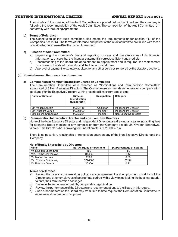The minutes of the meeting of the Audit Committee are placed before the Board and the company is following the recommendation of the Audit Committee. The composition of the Audit Committee is in conformity with the Listing Agreement.

# **b) Terms of Reference:**

The Constitution of the audit committee also meets the requirements under section 117 of the Companies Act, 2013. The terms of reference and power of the audit committee are in line with those contained under clause 49 of the Listing Agreement.

# **c) Function of Audit Committee:**

- a) Supervising the Company's financial reporting process and the disclosure of its financial information to ensure that the financial statement is correct, sufficient and credible.
- b) Recommending to the Board, the appointment, re-appointment and, if required, the replacement or removal of the statutory auditor and the fixation of audit fees.
- c) Approval of payment to statutory auditors for any other services rendered by the statutory auditors.

# **(ii) Nomination and Remuneration Committee**

# **a) Composition of Nomination and Remuneration Committee**

The Remuneration Committee were renamed as "Nominations and Remuneration Committee" comprised of 3 Non-Executive Directors. The Committee recommends remuneration / compensation packages for the Executive Directors within prescribed limits from time to time.

| <b>Name of Director</b> | <b>Director</b><br><b>Identification</b><br>Number (DIN) | <b>Designation</b> | Category               |
|-------------------------|----------------------------------------------------------|--------------------|------------------------|
| Mr. Madan Lal Jain      | 00051418                                                 | Chairman           | Independent Director   |
| Mr. Prashant Verma      | 00328093                                                 | Member             | Independent Director   |
| Mrs. Rekha Shrivastava  | 00051261                                                 | Member             | Non-Executive Director |

# **b) Remuneration to Executive Director and Non Executive Directors**

None of the Non Executive Director and Independent Directors are drawing any salary nor sitting fees for attending Board meeting or any commission from the Company except Mr. Nivedan Bharadwaj, Whole-Time Director who is drawing remuneration of Rs. 1, 20,000/- p.a.

There is no pecuniary relationship or transaction between any of the Non Executive Director and the Company.

#### **No. of Equity Shares held by Directors**

| <b>Name</b>            | No. Of Equity Shares held | (%)Percentage of holding |  |
|------------------------|---------------------------|--------------------------|--|
| Mr. Nivedan Bharadwai  | nil                       | <b>NIL</b>               |  |
| Mrs. Rekha Shrivastava | 100000                    | 1.42                     |  |
| Mr. Madan Lal Jain     | 2700                      | 0.03                     |  |
| Ms. Ruchika Bharadwai  | 3726868                   | 52.94                    |  |
| Mr. Prashant Verma     | 15300                     | 0.21                     |  |

# **Terms of reference:**

- a) Review the overall compensation policy, service agreement and employment condition of the Director and other employees of appropriate cadres with a view to motivating the best managerial talents, their remuneration packages.
- b) Evaluate the remuneration paid by comparable organization.<br>c) Review the performance of the Directors and recommendation
- c) Review the performance of the Directors and recommendations to the Board in this regard.
- d) Such other matters as the Board may from time to time request the Remuneration Committee to examine and recommend / approve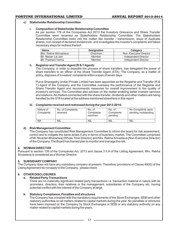#### **c) Stakeholder Relationship Committee**

## **i. Composition of Stakeholder Relationship Committee**

As per section 178 of the Companies Act 2013 the Investors Grievance and Share Transfer Committee were renamed as Stakeholders Relationship Committee. The Stakeholders Relationship Committee looks into the matter like transfer / transmission, issue of duplicate shares, non-receipt of declared dividend etc. and investigates the investor's complaints and takes necessary steps for redress thereof.

| <b>Name</b>            | <b>Designation</b> | Category               |
|------------------------|--------------------|------------------------|
| Mrs. Rekha Shrivastava | Chairman           | Non-Executive Director |
| Mr. Madan Lal Jain     | Member             | Independent Director   |
| Mr. Prashant Verma     | Member             | Independent Director   |

# **ii. Registrar and Transfer Agent (R & T Agent):**

The Company, in order to expedite the process of share transfers, has delegated the power of share transfers to an officer of the Share Transfer Agent (STA). The Company, as a matter of policy, disposes of investors' complaints within a span of seven days.

Purva Sharegistry (India) Private Limited has been appointed as the Registrar and Transfer (R & T) Agent of the Company and the Committee oversees the performance of the Registrar and Share Transfer Agent and recommends measures for overall improvement in the quality of investor's services. The Committee also advises on the matter enabling better investor services and relations. All matters connected with the share transfer, dividends and other matters are being handled by the STAlocated at the address mentioned elsewhere in this report.

## **iii. Complaints received and redressed during the year 2013-2014:**

| Nature of<br>Complaints | No. of Complaints<br>received | No. of<br>Complaints<br>resolved | No. of<br>Complaints<br>pending | No Complaints were<br>pending /outstanding |
|-------------------------|-------------------------------|----------------------------------|---------------------------------|--------------------------------------------|
| <b>NA</b>               | <b>NIL</b>                    | <b>NIL</b>                       | <b>NIL</b>                      | <b>NIL</b>                                 |

# **d) Risk Management Committee:**

The Company has constituted Risk Management Committee to inform the board for risk assessment, control and to mitigate the same arises if any in terms of business, market. The Committee comprised of Mr. Nivedan Bharadwaj (Whole-Time Director) and Mrs. Rekha Srivastava (Non-Executive Director) of the Company. The Board has framed plan to monitor and manage the risk.

# **4. WOMAN DIRECTOR**

Pursuant to section 139 of the Companies Act, 2013 and clause 3 II.A of the Listing Agreement, Mrs. Rekha Srivastava is considered as a Woman Director.

# **5. SUBSIDIARY COMPANY**

The Company does not have any subsidiary company at present. Therefore, provisions of Clause 49(III) of the Listing Agreement do not apply to the Company.- please check

# **6. OTHER DISCLOSURES**

# **a. Related Party Transactions**

There are no materially significant related party transactions i.e. transaction material in nature with its promoters, directors, their relatives or the management, subsidiaries of the Company etc. having potential conflict with the interest of the Company at large.

# **b. Statutory Compliance, Penalties and structures**

The Company has complied with the mandatory requirements of the Stock Exchanges, SEBI and other statutory authorities on all matters related to capital markets during the year. No penalties or strictures have been imposed on the Company by Stock Exchanges or SEBI or any statutory authority on any matter related to capital markets during the years.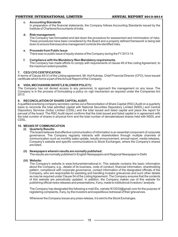#### **c. Accounting Standards**

In preparation of the financial statements, the Company follows Accounting Standards issued by the Institute of Chartered Accountants of India.

# **d. Risk management:**

The Company has formulated and laid down the procedure for assessment and minimization of risks. These procedures have been considered by the Board and a properly defined framework is being laid down to ensure that executive management controls the identified risks.

## **e. Proceeds from Public Issue**

There was no public issue of equity shares of the Company during the FY2013-14.

#### **f. Compliance with the Mandatory /Non Mandatory requirements.**

The Company has made efforts to comply with requirements of clause 49 of the Listing Agreement, to the maximum extent possible.

# **7. CEO/ CFO CERTIFICATION**

In terms of Clause 49 (V) of the Listing agreement, Mr. Anil Kukreja, Chief Financial Director (CFO), have issued certificate which forms a part of the Annual Report of the Company.

# **8. VIGIL MECHANISM (WHISTLE BLOWER POLICY):**

The Company has not denied access to any personnel, to approach the management on any issue. The Company is in the process of formulating a policy on vigil mechanism as required under the Companies Act 2013.

# **9. RECONCILIATION OF SHARE CAPITALAUDIT:**

Aqualified practising company secretary carries out a Reconciliation of Share Capital (RSC) Audit on a quarterly basis to reconcile the total admitted capital with National Securities Depository Limited (NSDL) and Central Depository Services (India) Limited (CDSL) and the total issued and listed capital and place the report for perusal of the board. The RSC Audit report confirms that the total issued and listed capital is in agreement with the total number of shares in physical form and the total number of dematerialized shares held with NSDL and CDSL.

# **10. MEANS OF COMMUNICATION**

# **(i) Quarterly Results:**

The board believes that effective communication of information is an essential component of corporate governance. The Company regularly interacts with shareholders through multiple channels of communication such as monthly sales update, results announcement, annual report, media releases, Company's website and specific communications to Stock Exchanges, where the Company's shares are listed.

#### **(ii) Newspapers wherein results are normally published:**

The results are normally published in English Newspapers and Regional Newspaper in Delhi

# **(iii) Website:**

The Company's website is www.fortuneinternational.in. This website contains the basic information about the Company, e.g., details of its business, code of conduct, financial information, shareholding pattern, compliance with corporate governance, contact information of the designated officials of the Company, who are responsible for assisting and handling investor grievances and such other details as may be required under Clause 54 of the Listing Agreement. The Company ensures that the contents of this website are periodically updated. In addition, the Company makes use of this website for publishing official news releases and presentations, if any, made to institutional investors / analysts.

The Company has designated the following e-mail IDs, namely fil12033@gmail.com for the purpose of registering complaints, if any, by the investors and expeditious redressal of their grievances.

Whenever the Company issues any press release, it is sent to the Stock Exchanges.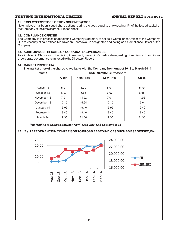# **11. EMPLOYEES' STOCK OPTION SCHEMES (ESOP)**

No employee has been issued share options, during the year, equal to or exceeding 1% of the issued capital of the Company at the time of grant.- Please check

# **12. COMPLIANCE OFFICER**

The Company is in process of appointing Company Secretary to act as a Compliance Officer of the Company. Due to vacancy of said officer, Mr. Nivedan Bharadwaj, is designated and acting as a Compliance Officer of the Company

# **13. AUDITOR'S CERTIFICATE ON CORPORATE GOVERNANCE:**

As stipulated in Clause 49 of the Listing Agreement, the auditor's certificate regarding Compliance of conditions of corporate governance is annexed to the Directors' Report.

## **14. MARKET PRICE DATA:**

#### **The market price of the shares is available with the Company from August 2013 to March-2014:**

| <b>Month</b> |       | BSE (Monthly) All Prices in $\bar{z}$ |                  |              |  |  |
|--------------|-------|---------------------------------------|------------------|--------------|--|--|
|              | Open  | <b>High Price</b>                     | <b>Low Price</b> | <b>Close</b> |  |  |
|              |       |                                       |                  |              |  |  |
| August 13    | 5.01  | 5.79                                  | 5.01             | 5.79         |  |  |
| October 13   | 6.07  | 6.68                                  | 6.07             | 6.68         |  |  |
| November 13  | 7.01  | 11.92                                 | 7.01             | 11.92        |  |  |
| December 13  | 12.15 | 15.64                                 | 12.15            | 15.64        |  |  |
| January 14   | 15.95 | 19.40                                 | 15.95            | 19.40        |  |  |
| February 14  | 19.40 | 19.40                                 | 18.45            | 18.45        |  |  |
| March 14     | 19.35 | 21.30                                 | 19.35            | 21.30        |  |  |

*\*No Trading took place between April-13 to July-13 & September 13*

# **15. (A) PERFORMANCE IN COMPARISON TO BROAD BASED INDICES SUCH AS BSE SENSEX, Etc.**

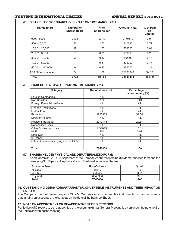#### **(B) DISTRIBUTION OF SHAREHOLDING AS ON 31ST MARCH, 2014:**

| Range (in Rs)         | Number of<br><b>Shareholders</b> | $%$ of<br><b>Shareholder</b> | Amount in Rs. | % of Paid<br>up<br>Capital. |
|-----------------------|----------------------------------|------------------------------|---------------|-----------------------------|
| 0001-5000             | 2124                             | 93.40                        | 2770670       | 3.94                        |
| 5001-10.000           | 63                               | 2.77                         | 540690        | 0.77                        |
| 10,001-20,000         | 37                               | 1.63                         | 568000        | 0.81                        |
| 20,001-30,000         | 7                                | 0.31                         | 183000        | 0.26                        |
| 30,001-40,000         | 3                                | 0.13                         | 112000        | 0.16                        |
| 40.001-50.000         | 7                                | 0.31                         | 332000        | 0.47                        |
| 50,001-1,00,000       | 9                                | 0.40                         | 855000        | 1.21                        |
| $1,00,000$ -and above | 24                               | 1.06                         | 65038640      | 92.38                       |
| <b>Total</b>          | 2274                             | 100.00                       | 70400000      | 100.00                      |

# **(C) SHAREHOLDING PATTERN AS ON 31ST MARCH 2014:**

| Category                             | No. of shares held | Percentage to<br>shareholding (%) |
|--------------------------------------|--------------------|-----------------------------------|
| Foreign Companies                    | NIL                | <b>NIL</b>                        |
| Non Resident                         | 769                | 0.01                              |
| Foreign Financial Institution        | NIL                | <b>NIL</b>                        |
| <b>Financial Institutions</b>        | <b>NIL</b>         | <b>NIL</b>                        |
| Mutual Fund                          | <b>NIL</b>         | <b>NIL</b>                        |
| <b>Promoters</b>                     | 3826868            | 54.36                             |
| Director Relative                    | <b>NIL</b>         | <b>NIL</b>                        |
| Resident Individual                  | 2077748            | 29.51                             |
| Nationalized Bank                    | <b>NIL</b>         | <b>NIL</b>                        |
| Other Bodies corporate               | 1134045            | 16.11                             |
| <b>HUF</b>                           | 570                | 0.01                              |
| Employee                             | NIL                | <b>NIL</b>                        |
| In Transit                           | NIL                | <b>NIL</b>                        |
| Others (shares underlying under GDR) | NIL                | <b>NIL</b>                        |
| <b>Total</b>                         | 7040000            | 100                               |

#### **(D) SHARES HELD IN PHYSICALAND DEMATERIALIZED FORM:**

As on March 31, 2014, 9.82 percent of the Company's shares were held in dematerialized form and the remaining 90.18 percent in physical form. The break up is listed below

| <b>Shares in Form</b> | No. of shares | % held |
|-----------------------|---------------|--------|
| N.S.D.L               | 85110         | 1.21   |
| C.D.S.L               | 605990        | 8.61   |
| Physical              | 6348900       | 90.18  |
| <b>Total</b>          | 7040000       | 100    |

#### **16. OUTSTANDING GDRS/ ADRS/WARRANTS/CONVERTIBLE INSTRUMENTS AND THEIR IMPACT ON EQUITY:**

The Company has not issued any GDR/ADRs/ Warrants or any convertible instruments. No amounts were outstanding on accounts of the same as on the date of the Balance Sheet.

# **17. NOTE ON APPOINTMENT OR RE-APPOINTMENT OF DIRECTORS**

Particulars of Directors to be re-appointed at the ensuing Annual General Meeting is given under the note no.2 of the Notice convening the meeting.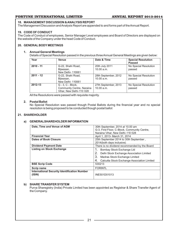# **18. MANAGEMENT DISCUSSION & ANALYSIS REPORT**

The Management Discussion and Analysis Report are appended to and forms part of the Annual Report.

## **19. CODE OF CONDUCT**

The Code of Conduct of employees, Senior Manager Level employees and Board of Directors are displayed on the website of the Company under the head Code of Conduct.

# **20. GENERAL BODY MEETINGS**

### **1. Annual General Meetings**

Details of Special Resolution passed in the previous three Annual General Meetings are given below:

| Year        | <b>Venue</b>                                                               | Date & Time                        | <b>Special Resolution</b><br>Passed |
|-------------|----------------------------------------------------------------------------|------------------------------------|-------------------------------------|
| $2010 - 11$ | G-22, Shahi Road,<br>Bijwasan,<br>New Delhi- 110061                        | 20th July 2011<br>10.00 a.m.       | No Special Resolution<br>passed     |
| $2011 - 12$ | G-22, Shahi Road,<br>Bijwasan,<br>New Delhi- 110061                        | 28th September, 2012<br>10.00 a.m. | No Special Resolution<br>passed     |
| 2012-13     | G - 3. C - Block.<br>Community Centre, Naraina<br>Vihar, New Delhi-110 028 | 27th September, 2013<br>10.00 a.m. | No Special Resolution<br>passed     |

All the Resolutions were passed with requisite majority.

#### **2. Postal Ballot**

No Special Resolution was passed though Postal Ballots during the financial year and no special resolution is being proposed to be conducted though postal ballot

## **21. SHAREHOLDER**

# **a) GENERALSHAREHOLDER INFORMATION**

| Date, Time and Venue of AGM                         | 30th September, 2014 at 10.00 am                  |  |  |
|-----------------------------------------------------|---------------------------------------------------|--|--|
|                                                     | G-3, First Floor, C-Block, Community Centre,      |  |  |
|                                                     | Naraina Vihar, New Delhi-110 028                  |  |  |
| <b>Financial Year</b>                               | April 1, 2013- March 31, 2014                     |  |  |
| Dates of Book Closure                               | 25th September 2014 to 30th September,            |  |  |
|                                                     | 2014(both days inclusive)                         |  |  |
| <b>Dividend Payment Date</b>                        | There is no dividend recommended by the Board     |  |  |
| <b>Listing on Stock Exchange</b>                    | Bombay Stock Exchange Ltd<br>1.                   |  |  |
|                                                     | 2.<br>Delhi Stock Exchange Association Limited    |  |  |
|                                                     | 3.<br>Madras Stock Exchange Limited               |  |  |
|                                                     | Calcutta Stock Exchange Association Limited<br>4. |  |  |
| <b>BSE Scrip Code</b>                               | 530213                                            |  |  |
| Scrip name                                          | <b>FORINTL</b>                                    |  |  |
| <b>International Security Identification Number</b> |                                                   |  |  |
| (ISIN)                                              | INE501D01013                                      |  |  |
|                                                     |                                                   |  |  |

#### **b) SHARE TRANSFER SYSTEM**

Purva Sharegistry (India) Private Limited has been appointed as Registrar & Share Transfer Agent of the Company.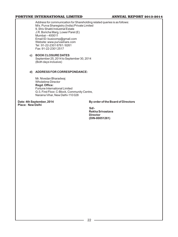Address for communication for Shareholding related queries is as follows: M/s. Purva Sharegistry (India) Private Limited 9, Shiv Shakti Industrial Estate J.R. Boricha Marg, Lower Parel (E) Mumbai – 400011 Email ID: busicomp@gmail.com Website: www.purvashare.com Tel : 91-22-2301 6761 / 8261 Fax: 91-22-2301 2517

### **c) BOOK CLOSURE DATES** September 25, 2014 to September 30, 2014 (Both days inclusive)

# **d) ADDRESS FOR CORRESPONDANCE:**

Mr. Nivedan Bharadwaj Wholetime Director **Regd. Office:** Fortune International Limited G-3, First Floor, C-Block, Community Centre, Naraina Vihar, New Delhi-110 028

# **Place: New Delhi**

**Date: 4th September, 2014 By order of the Board of Directors** 

 **Sd/- Rekha Srivastava Director (DIN-00051261)**

 $\overline{\phantom{0}}$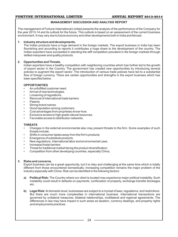## **MANAGEMENT DISCUSSION AND ANALYSIS REPORT**

The management of Fortune International Limited presents the analysis of the performance of the Company for the year 2013-14 and its outlook for the future. This outlook is based on an assessment of the current business environment. It may vary due to future economy and other developments both in India and Abroad.

## **1. Industry structure and developments.**

The Indian products have a huge demand in the foreign markets. The export business in India has been flourishing and according to reports it contributes a huge share to the development of the country. The Indian exporters have succeeded in standing the stiff competition prevalent in the foreign markets through skilled manpower and quality products.

## **2. Opportunities and Threats.**

Indian exporters have a healthy competition with neighboring countries which has further led to the growth of export sector in the Country. The government has created new opportunities by introducing several policies to augment the export sector. The introduction of various trade policies have led to a substantial flow of foreign currency. There are certain opportunities and strengths in the export business which has been specified below.

# **OPPORTUNITIES**

- An unfulfilled customer need.
- Arrival of new technologies.
- Loosening of regulations.
- Removal of international trade barriers.
- Patents
- Strong brand names.
- Good reputation among customers.
- Cost advantages from proprietary know-how.
- Exclusive access to high grade natural resources.
- Favorable access to distribution networks.

#### **THREATS**

- Changes in the external environmental also may present threats to the firm. Some examples of such threats include:
- Shifts in consumer tastes away from the firm's products
- Emergence of substitute products.
- New regulations. International labor and environmental Laws.
- Increased trade barriers
- Threat for traditional market facing the product diversification;
- Competition from other developing countries, especially China;

# **3. Risks and concerns.**

Export business can be a great opportunity, but it is risky and challenging at the same time which is totally different from those encountered domestically. Increasing competition remains the major problem of the industry especially with China. Risk can be identified in the following factors:

- **a) Political Risk:** The Country where our client is located may experience major political instability. Such instability could result in defaults on payments, confiscation of property, exchange transfer blockages etc.
- **b) Legal Risk:**At domestic level, businesses are subject to a myriad of laws, regulations, and restrictions. But there are much more complexities in international business. International transactions are governed by unilateral measures, bilateral relationships, multilateral and regional agreements. The differences in law may have impact in such areas as taxation, currency dealings, and property rights and employments practices.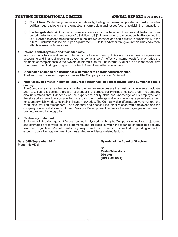- **c) Credit Risk:** While doing business internationally, trading can seem complicated and risky. Besides political, legal and other risks, the most common problem businesses face is the risk in the transaction.
- **d) Exchange Rate Risk:** Our major business involves export to the other Countries and the transactions are primarily done in the currency of US dollars (US\$). The exchange rate between the Rupee and the U.S. Dollar has changed substantially in the last two decades and could fluctuate substantially in the future. Fluctuations in Indian Rupee against the U.S. Dollar and other foreign currencies may adversely affect our results of operations.

# **4. Internal control systems and their adequacy.**

Your company has a well settled internal control system and policies and procedures for operations accounting and financial reporting as well as compliance. An effective internal Audit function adds the elements of completeness to the System of Internal Control, The Internal Auditor are an Independent firm who present their finding and report to the Audit Committee on the regular basis.

- **5. Discussion on financial performance with respect to operational performance.** The Board has discussed the performance of the Company in its Board's Report
- **6. Material developments in Human Resources / Industrial Relations front, including number of people employed.**

The Company realized and understands that the human resources are the most valuable assets that it has and it takes pains to see that there are not overlook in the process of trying business and profit The Company also understand that it depends on the experience ability skills and knowledge of his employee and therefore takes pains to encourage them to expand the knowledge and as and when as required sends them for courses which will develop their skills and knowledge. The Company also offers attractive remuneration, conductive working atmosphere. The Company had peaceful industrial relation with employees and the company continues to focus on Human Resource Development to enhance the employee performance and promote knowledge integration

#### **7. Cautionary Statement**

Statements in the Management Discussion and Analysis, describing the Company's objectives, projections and estimates are forward looking statements and progressive within the meaning of applicable security laws and regulations. Actual results may vary from those expressed or implied, depending upon the economic conditions, government policies and other incidental/ related factors.

**Place:** New Delhi

#### **Date: 04th September, 2014 By order of the Board of Directors**

 **Sd/- Rekha Srivastava Director (DIN-00051261)**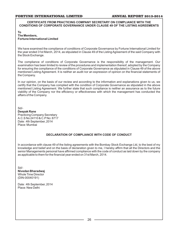# **CERTIFICATE FROM PRACTICING COMPANY SECRETARY ON COMPLIANCE WITH THE CONDITIONS OF CORPORATE GOVERNANCE UNDER CLAUSE 49 OF THE LISTING AGREEMENTS**

#### **To The Members, Fortune International Limited**

We have examined the compliance of conditions of Corporate Governance by Fortune International Limited for the year ended 31st March, 2014, as stipulated in Clause 49 of the Listing Agreement of the said Company with the Stock Exchange.

The compliance of conditions of Corporate Governance is the responsibility of the management. Our examination has been limited to review of the procedures and implementation thereof, adopted by the Company for ensuring the compliance of the conditions of Corporate Governance as stipulated in Clause 49 of the above mentioned Listing Agreement. It is neither an audit nor an expression of opinion on the financial statements of the Company.

In our opinion, on the basis of our review and according to the information and explanations given to us, we certify that the Company has complied with the condition of Corporate Governance as stipulated in the above mentioned Listing Agreement. We further state that such compliance is neither an assurance as to the future viability of the Company nor the efficiency or effectiveness with which the management has conducted the affairs of the Company.

Sd/- **Deepak Rane** A.C.S No 24110 & C.P No: 8717 Date : 4th September, 2014 Place: Mumbai Practicing Company Secretary

# **DECLARATION OF COMPLIANCE WITH CODE OF CONDUCT**

In accordance with clause 49 of the listing agreements with the Bombay Stock Exchange Ltd, to the best of my knowledge and belief and on the basis of declaration given to me, I hereby affirm that all the Directors and the senior Managements personal have affirmed compliance with the code of conduct as laid down by the company as applicable to them for the financial year ended on 31st March, 2014.

Sd/- **Nivedan Bharadwaj** Whole Time Director (DIN-00040191)

Date : 4th September, 2014 Place: New Delhi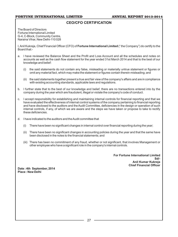# **CEO/CFO CERTIFICATION**

The Board of Directors Fortune International Limited G-4, C-Block, Community Centre, Naraina Vihar, New Delhi-110 028

I, Anil Kukreja, Chief Financial Officer (CFO) of **Fortune International Limited** (" the Company") do certify to the Board that:-

- a. I have reviewed the Balance Sheet and the Profit and Loss Account and all the schedules and notes on accounts as well as the cash flow statement for the year ended 31st March 2014 and that to the best of our knowledge and belief:
	- (i) the said statements do not contain any false, misleading or materially untrue statement or figures or omit any material fact, which may make the statement or figures contain therein misleading; and
	- (ii) the said statements together present a true and fair view of the company's affairs and are in compliance with existing accounting standards, applicable laws and regulations.
- b. I further state that to the best of our knowledge and belief, there are no transactions entered into by the company during the year which are fraudulent, illegal or violate the company's code of conduct.
- c. I accept responsibility for establishing and maintaining internal controls for financial reporting and that we have evaluated the effectiveness of internal control systems of the company pertaining to financial reporting and have disclosed to the auditors and the Audit Committee, deficiencies in the design or operation of such internal controls, if any, of which we are aware and the steps we have taken or propose to take to rectify these deficiencies.
- d. I have indicated to the auditors and the Audit committee that
	- (i) There have been no significant changes in internal control over financial reporting during the year;
	- (ii) There have been no significant changes in accounting policies during the year and that the same have been disclosed in the notes to the financial statements; and
	- (iii) There has been no commitment of any fraud, whether or not significant, that involves Management or other employee who have a significant role in the company's internal controls.

**For Fortune International Limited Sd/- Anil Kumar Kukreja Chief Financial Officer**

**Date : 4th September, 2014 Place : New Delhi**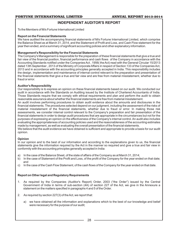# **INDEPENDENT AUDITOR'S REPORT**

To the Members of M/s Fortune International Limited

#### **Report on the Financial Statements**

We have audited the accompanying financial statements of M/s Fortune International Limited, which comprise the Balance Sheet as at March 31, 2014, and the Statement of Profit and Loss, and Cash Flow statement for the year then ended, and a summary of significant accounting policies and other explanatory information.

# **Management's Responsibility for the Financial Statements**

The Company's Management is responsible for the preparation of these financial statements that give a true and fair view of the financial position, financial performance and cash flows of the Company in accordance with the Accounting Standards notified under the Companies Act , 1956( the Act) read with the General Circular 15/2013 dated 13th September , 2013 of the Ministry of Corporate Affairs in respect of Section 133 of the Companies Act, 2013 and in accordance with the accounting principles generally accepted in India. This responsibility includes the design, implementation and maintenance of internal control relevant to the preparation and presentation of the financial statements that give a true and fair view and are free from material misstatement, whether due to fraud or error.

## **Auditor's Responsibility**

Our responsibility is to express an opinion on these financial statements based on our audit. We conducted our audit in accordance with the Standards on Auditing issued by the Institute of Chartered Accountants of India. Those Standards require that we comply with ethical requirements and plan and perform the audit to obtain reasonable assurance about whether the financial statements are free from material misstatement.

An audit involves performing procedures to obtain audit evidence about the amounts and disclosures in the financial statements. The procedures selected depend on our judgment, including the assessment of the risks of material misstatement of the financial statements, whether due to fraud or error. In making those risk assessments, we consider internal control relevant to the Company's preparation and fair presentation of the financial statements in order to design audit procedures that are appropriate in the circumstances but not for the purposes of expressing an opinion on the effectiveness of the Company's internal control. An audit also includes evaluating the appropriateness of accounting policies used and the reasonableness of the accounting estimates made by management, as well as evaluating the overall presentation of the financial statements.

We believe that the audit evidence we have obtained is sufficient and appropriate to provide a basis for our audit opinion.

# **Opinion**

In our opinion and to the best of our information and according to the explanations given to us, the financial statements give the information required by the Act in the manner so required and give a true and fair view in conformity with the accounting principles generally accepted in India:

- a) In the case of the Balance Sheet, of the state of affairs of the Company as at March 31, 2014;
- b) In the case of Statement of the Profit and Loss, of the profit of the Company for the year ended on that date; and
- c) In the case of the Cash Flow Statement, of the cash flows of the Company for the year ended on that date.

# **Report on Other legal and Regulatory Requirements**

- 1. As required by the Companies (Auditor's Report) Order, 2003 ("the Order") issued by the Central Government of India in terms of sub-section (4A) of section 227 of the Act, we give in the Annexure a statement on the matters specified in paragraphs 4 and 5 of the Order.
- 2. As required by section 227(3) of the Act, we report that:
	- a) we have obtained all the information and explanations which to the best of our knowledge and belief were necessary for the purpose of our audit;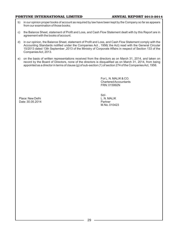- b) in our opinion proper books of account as required by law have been kept by the Company so far as appears from our examination of those books;
- c) the Balance Sheet, statement of Profit and Loss, and Cash Flow Statement dealt with by this Report are in agreement with the books of account.
- d) in our opinion, the Balance Sheet, statement of Profit and Loss, and Cash Flow Statement comply with the Accounting Standards notified under the Companies Act , 1956( the Act) read with the General Circular 15/2013 dated 13th September ,2013 of the Ministry of Corporate Affairs in respect of Section 133 of the Companies Act, 2013.
- e) on the basis of written representations received from the directors as on March 31, 2014, and taken on record by the Board of Directors, none of the directors is disqualified as on March 31, 2014, from being appointed as a director in terms of clause (g) of sub-section (1) of section 274 of the Companies Act, 1956.

For L. N. MALIK & CO. Chartered Accountants FRN: 015992N

Place: New Delhi L. N. MA<br>
Date: 30.05.2014 Charles Controller Martiner Partner Date: 30.05.2014

Sd/-<br>L. N. MALIK M.No. 010423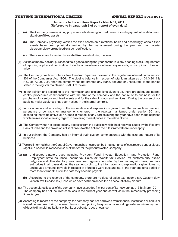#### **Annexure to the auditors' Report – March 31, 2014 (Refereed to in paragraph 3 of our report of even date)**

- (i) (a) The Company is maintaining proper records showing full particulars, including quantitative details and situation of fixed assets.
	- (b) The Company physically verifies the fixed assets on a rotational basis and accordingly, certain fixed assets have been physically verified by the management during the year and no material discrepancies were noticed on such verification.
	- (c) There was no substantial disposal of fixed assets during the year.
- (ii) As the company has not purchased/sold goods during the year nor there is any opening stock, requirement of reporting of physical verification of stocks or maintenance of inventory records, in our opinion, does not arise.
- (iii) The Company has taken interest free loan from 3 parties covered in the register maintained under section 301 of the Companies Act, 1956. The closing balance in respect of total loan taken as on 31.3.2014 is Rs.2,88,73,000 /-.Further the company has not granted any loans, secured or unsecured to the parties stated in the register maintained u/s 301 of the Act.
- (iv) In our opinion and according to the information and explanations given to us, there are adequate internal control procedures commensurate with the size of the company and the nature of its business for the purchase of inventory and fixed assets and for the sale of goods and services. During the course of our audit, no major weakness has been noticed in the internal controls.
- (v) In our opinion and according to the information and explanations given to us, the transactions made in pursuance of contracts or arrangements entered in the register maintained under section 301 and exceeding the value of five lakh rupees in respect of any parties during the year have been made at prices which are reasonable having regard to prevailing market prices at the relevant time.
- (vi) The Company has not accepted any deposits from the public to which the directives issued by the Reserve Bank of India and the provisions of section 58 Aof the Act and the rules framed there under apply.
- (vii) In our opinion, the Company has an internal audit system commensurate with the size and nature of its business.
- (viii)We are informed that the Central Government has not prescribed maintenance of cost records under clause (d) of sub-section (1) of section 209 of the Act for the products of the Company.
- (ix) (a) Undisputed statutory dues including Provident Fund, Investor Education and Protection Fund, Employees' State Insurance, Income-tax, Sales-tax, Wealth-tax, Service Tax, customs duty, excise duty, cess and other statutory dues have been regularly deposited by the company with the appropriate authorities in all cases during the year. According to the information and explanations given to us, no undisputed amounts payable in respect of aforesaid were outstanding, at the year end for a period of more than six months from the date they became payable.
	- (b) According to the records of the company, there are no dues of sales tax, Income-tax, Custom duty, Wealth-tax, Service Tax, Cess which have not been deposited on account of any dispute.
- (x) The accumulated losses of the company have exceeded fifty per cent of its net worth as at 31st March 2014. The company has not incurred cash loss in the current year and as well as in the immediately preceding financial year.
- (xi) According to records of the company, the company has not borrowed from financial institutions or banks or issued debentures during the year. Hence in our opinion, the question of reporting on defaults in repayment of dues to financial institutions or banks or debenture does not arise.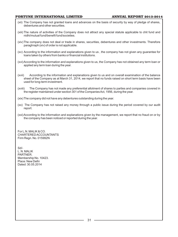- (xii) The Company has not granted loans and advances on the basis of security by way of pledge of shares, debentures and other securities.
- (xiii) The nature of activities of the Company does not attract any special statute applicable to chit fund and nidhi/mutual fund/benefit fund/societies.
- (xiv)The company does not deal or trade in shares, securities, debentures and other investments. Therefore paraghraph (xiv) of order is not applicable.
- (xv) According to the information and explanations given to us , the company has not given any guarantee for loans taken by others from banks or financial institutions.
- (xvi)According to the information and explanations given to us, the Company has not obtained any term loan or applied any term loan during the year.
- (xvii) According to the information and explanations given to us and on overall examination of the balance sheet of the Company as at March 31, 2014, we report that no funds raised on short term basis have been used for long-term investment.
- (xviii) The Company has not made any preferential allotment of shares to parties and companies covered in the register maintained under section 301 of the Companies Act, 1956, during the year.
- (xix)The company did not have any debentures outstanding during the year.
- (xx) The Company has not raised any money through a public issue during the period covered by our audit report.
- (xxi)According to the information and explanations given by the management, we report that no fraud on or by the company has been noticed or reported during the year.

For L.N. MALIK & CO. CHARTERED ACCOUNTANTS Firm Regn. No. 015992N

Sd/- L. N. MALIK PARTNER. Membership No. 10423. Place: New Delhi Dated: 30.05.2014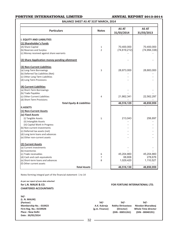# **BALANCE SHEET AS AT 31ST MARCH, 2014**

|                                                           | <b>AS AT</b><br><b>AS AT</b> |                |                |
|-----------------------------------------------------------|------------------------------|----------------|----------------|
| <b>Particulars</b>                                        | <b>Notes</b>                 | 31/03/2014     | 31/03/2013     |
| <b>I. EQUITY AND LIABILITIES</b>                          |                              |                |                |
| (1) Shareholder's Funds                                   |                              |                |                |
| (A) Share Capital                                         | $\mathbf{1}$                 | 70,400,000     | 70,400,000     |
| (b) Reserves and Surplus                                  | $\overline{2}$               | (74, 619, 212) | (74, 994, 338) |
| (c) Money received against share warrants                 |                              |                |                |
| (2) Share Application money pending allotment             |                              |                |                |
| (3) Non-Current Liabilities                               |                              |                |                |
| (a) Long-Term Borrowings                                  | 3                            | 28,873,000     | 28,883,000     |
| (b) Deferred Tax Liabilities (Net)                        |                              |                |                |
| (c) Other Long Term Liabilities                           |                              |                |                |
| (d) Long Term Provisions                                  |                              |                |                |
| (4) Current Liabilities                                   |                              |                |                |
| (a) Short-Term Borrowings                                 |                              |                |                |
| (b) Trade Payables                                        |                              |                |                |
| (c) Other Current Liabilities                             | 4                            | 21,862,341     | 22,562,297     |
| (d) Short-Term Provisions                                 |                              |                |                |
| <b>Total Equity &amp; Liabilities</b><br><b>II.ASSETS</b> |                              | 46,516,129     | 46,850,959     |
| (1) Non-Current Assets                                    |                              |                |                |
| (a) Fixed Assets                                          |                              |                |                |
| (i) Tangible Assets                                       | 5                            | 213,043        | 256,897        |
| (ii) Intangible Assets                                    |                              |                |                |
| (iii) Capital Work In Progress                            |                              |                |                |
| (b) Non-current investments                               |                              |                |                |
| (c) Deferred tax assets (net)                             |                              |                |                |
| (d) Long term loans and advances                          |                              |                |                |
| (e) Other non-current assets                              |                              |                |                |
| (2) Current Assets                                        |                              |                |                |
| (a) Current investments                                   |                              |                |                |
| (b) Inventories                                           |                              |                |                |
| (c) Trade receivables                                     | 6                            | 45,204,860     | 45,204,860     |
| (d) Cash and cash equivalents                             | $\overline{7}$               | 68,806         | 278,676        |
| (e) Short-term loans and advances                         | 8                            | 1,029,420      | 1,110,527      |
| (f) Other current assets                                  |                              |                |                |
| <b>Total Assets</b>                                       |                              | 46,516,130     | 46,850,959     |

Notes forming integral part of the financial statement 1 to 14

*As per our report of even date attached* **for L.N. MALIK & CO. FOR FORTUNE INTERNATIONAL LTD. CHARTERED ACCOUNTANTS**

# **(L. N. MALIIK) (Partner) Firm Reg. No.: 015992N**<br>Place : New Delhi **(DIN - 00051261) Place : New Delhi (DIN - 00040191) Date : 30/05/2014 Sd/-**

**Membership No. : 010423 A.K. Kukreja Rekha Shrivastava Nivedan Bharadwaj**

**Whole Time director Sd/- Sd/- Sd/-**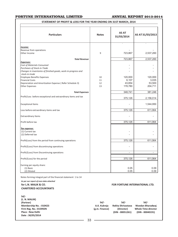#### **Particulars Notes AS AT 31/03/2014 AS AT 31/03/2013**   $\ddot{\phantom{a}}$  . The set of  $\ddot{\phantom{a}}$ *Income:* Revenue from operations and the set of the set of the set of the set of the set of the set of the set of the set of the set of the set of the set of the set of the set of the set of the set of the set of the set of the set - Other Income 9 723,867 2,537,260 **Total Revenue 723,867** *Expenses:* **Cost of Materials Consumed** - 2,537,260 *Purchases of Stock-in-Trade* - - *Changes in inventories of finished goods, work-in-progress and* - ٦ - 2,537,260  *stock-in-trade* Employee Benefits Expenses 2008 120,000 120,000 120,000 120,000 120,000 120,000 120,000 120,000 120,000 120,000 Financial Costs 6,107<br>
Depreciation and Amortization Expense (Refer Schedule 3) 12 12 43.854 3,035<br>53.500 Depreciation and Amortization Expense (Refer Schedule 3) 12 Other Expenses 13 178,780 204,711 **Total Expenses** 348,741 381,246 Profit/Loss before exceptional and extraordinary items and tax 375,126 2,156,014 Exceptional Items -  $\overline{a}$ 1,544,950 Loss before extraordinary items and tax 375,126 611,064 Extraordinary Items - - Profit before tax 611,064 *Tax expense:* (1) Current tax and the control of the control of the control of the control of the control of the control of the control of the control of the control of the control of the control of the control of the control of the con - (1) Current tax and the set of the set of the set of the set of the set of the set of the set of the set of the set of the set of the set of the set of the set of the set of the set of the set of the set of the set of the - Profit(Loss) from the period from continuing operations and the state of the state 375,126 611,064 Profit/(Loss) from discontinuing operations j - Profit/(Loss) from Discontinuing operations and the state of the state of the state of the state of the state of the state of the state of the state of the state of the state of the state of the state of the state of the s ٦ - Profit/(Loss) for the period 375,126 611,064 Earning per equity share: (1) Basic 0.05 0.09 (2) Diluted 0.05 0.09

**STATEMENT OF PROFIT & LOSS FOR THE YEAR ENDING ON 31ST MARCH, 2014**

Notes forming integral part of the financial statement 1 to 14

*As per our report of even date attached* **for L.N. MALIK & CO. FOR FORTUNE INTERNATIONAL LTD. CHARTERED ACCOUNTANTS**

**(L. N. MALIIK) (Partner) Firm Reg. No.: 015992N (g.m. Finance) (Director) Date : 30/05/2014 Sd/-**

| (L. N. MALIIK)           |                |                    |                            |
|--------------------------|----------------|--------------------|----------------------------|
| (Partner)                | $Sd/-$         | Sd                 | Sd/-                       |
| Membership No.: 010423   | A.K. Kukreja   | Rekha Shrivastava  | Nivedan Bharadwai          |
| Firm Reg. No.: 015992N   | (g.m. Finance) | (Director)         | <b>Whole Time director</b> |
| <b>Place : New Delhi</b> |                | $(DIN - 00051261)$ | (DIN - 00040191)           |

 $\sim$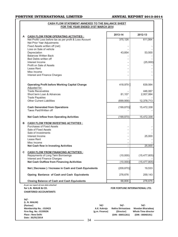#### **A CASH FLOW FROM OPERATING ACTIVITIES :** Net Profit/ Loss before tax as per profit & Loss Account 375,126 611,064 2012-13 Net Prior Year Adjustments Fixed Assets written off (net) - Loss on Sale of vehicle - Depreciation 43,854 53,500 Balances Written Back - Bed Debts written off - Interest Income - (25,000) Profit on Sale of Assets - Lease Rent - - Misc Income - Interest and Finance Charges - **Operating Profit before Working Capital Change**  $418,979$  **639,564** Adjusted for: Trade Receivables - 446,067<br>
Short term Loan & Advances - 446,067<br>
2,007,994<br>
2,007,994 Short term Loan & Advances Trade Payables **and Exercise 2.1 and 2.1 and 2.1** and 2.1 and 2.1 and 2.1 and 2.1 and 2.378,713<br>
Other Current Liabilities **and 2.1 and 2.378,713 Other Current Liabilities Cash Generated from Operations** (199,870) 15,472,338 Taxes Paid/Written off - **Net Cash Inflow from Operating Activities** (199,870) j 15,472,338 j **B CASH FLOW FROM INVESTING ACTIVITIES :** Purchases of Fixed Assets - - Sale of Fixed Assets - Sale of Investments - Interest Income 25,000 Lease Rent **Allen and Allen and Allen and Allen and Allen and Allen and Allen and Allen and Allen and Allen and A**  $\overline{a}$ - Misc Income Income **Income** and the second second second second second second second second second second second second second second second second second second second second second second second second second second second second se L - **Ne t Cash flow in Investing Activities** - 25,000 **C CASH FLOW FROM FINANCING ACTIVITIES :** Repayments of Long Term Borrowings (10,000) j (15,477,805) j Interest and Finance Charges ī ī **Net Cash Outflow from Financing Acitivities**   $(10,000)$ (15,477,805) **Net ( Decrease ) / Increase in Cash and Cash Equivalents (209,870)** 19,533 **Opeing Banlance of Cash and Cash Equivalents** 278,676  $\overline{a}$ 259,143 **Closing Balance of Cash and Cash Equivalents** 68,806 68,806 278,676 **CASH FLOW STATEMENT ANNEXED TO THE BALANCE SHEET FOR THE YEAR ENDED 31ST MARCH 2014 2013-14 2012-13**  FORTUNE INTERNATIONAL LIMITED ANNUAL REPORT 2013-2014 *As per our report of even date attached* **for L.N. MALIK & CO. FOR FORTUNE INTERNATIONAL LTD.**

**CHARTERED ACCOUNTANTS**

**(L. N. MALIIK) (Partner) Membership No. : 010423 A.K. Kukreja Rekha Shrivastava Nivedan Bharadwaj Firm Reg. No.: 015992N (g.m. Finance) (Director) (DIN - 00051261) Place : New Delhi (DIN - 00040191) Date : 30/05/2014 Sd/-**

**Whole Time director Sd/- Sd/- Sd/-**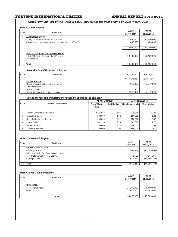# *Notes Forming Part of the Profit & Loss Accounts for the year ending on 31st March, 2014*

|                | Note: 1 Share Capital                                                                                                               | $\cdot$               | $\ddot{\phantom{1}}$  |
|----------------|-------------------------------------------------------------------------------------------------------------------------------------|-----------------------|-----------------------|
| S. No          | <b>Particulars</b>                                                                                                                  | AS AT<br>31/03/2014   | AS AT<br>31/03/2013   |
| $\mathbf{1}$   | <b>AUTHORIZED CAPITAL</b><br>71,60,000 Equity Shares of Rs. 10/- each.<br>40,000 10 % Cumulative Preference Share of Rs. 10/- each. | 71,600,000<br>400.000 | 71,600,000<br>400.000 |
|                |                                                                                                                                     | 72.000.000            | 72,000,000            |
| $\overline{2}$ | <b>ISSUED, SUBSCRIBED &amp; PAID UP CAPITAL</b><br>70,40,000 Equity Shares of Rs. 10/- each.<br>Fully paid up.                      | 70,400,000            | 70.400.000            |
|                | Total                                                                                                                               | 70.400.000            | 70.400.000            |

#### **\* Reconciliation of Numbers of Shares**

| S. No | <b>Particulars</b>                       | 2013-2014     | 2012-2013     |
|-------|------------------------------------------|---------------|---------------|
|       |                                          | No. of Shares | No. of Shares |
|       | <b>EQUITY SHARES</b>                     |               |               |
|       | Opening Balance at beginning of the year | 7.040.000     | 7,040,000     |
|       | Add: Fresh Issue                         |               |               |
|       | Less: Buv Back                           |               |               |
|       | Closing Balance at the end of the year   | 7.040.000     | 7,040,000     |

#### **\* Details of Shareholders holding more than 5% Shares of the company**

|        |                                | AS AT 31/03/2014 |              | AS AT 31/03/2013   |              |
|--------|--------------------------------|------------------|--------------|--------------------|--------------|
| S. Nol | Name of Shareholder            | No. of Shares    | % of Holding | No. of Shares held | % of Holding |
|        |                                | held             |              |                    |              |
|        |                                |                  |              |                    |              |
|        | Ruchika Shrivastava- Bharadwaj | 3,726,868        | 52.94        | 3,726,868          | 52.94        |
|        | Rekha Shriyastaya              | 100,000          | 1.42         | 100,000            | 1.42         |
|        | Quest Profin Advisor Pyt Ltd   | 600,000          | 8.52         | 600,000            | 8.52         |
| 4      | Pankaj Paliwal                 | 541,996          | 7.70         | 541,996            | 7.70         |
|        | Nimesh N. Shah                 | 390,000          | 5.54         | 390,000            | 5.54         |
| 6      | Kalpesh R. Koradia             | 390,000          | 5.54         | 390,000            | 5.54         |

#### *Note : 2 Reserve & Surplus*

| S. No | <b>Particulars</b>                                                                                        | <b>AS AT</b><br>31/03/2014 | <b>AS AT</b><br>31/03/2013 |
|-------|-----------------------------------------------------------------------------------------------------------|----------------------------|----------------------------|
|       | <b>PROFIT &amp; LOSS ACCOUNT</b><br><b>Opening Balance</b><br>Add:- Net Profit after Tax transferred from | (74, 994, 338)             | (75,605,401)               |
|       | Statement of Profit & Loss A/c                                                                            | 375.126                    | 611,064                    |
|       | <b>Closing Balance</b>                                                                                    | (74, 619, 212)             | (74, 994, 338)             |
|       |                                                                                                           |                            |                            |
|       | <b>Total</b>                                                                                              | (74, 619, 212)             | (74, 994, 338)             |

#### *Note : 3 Long Term Borrowings* ` `

| lS. Nol | <b>Particulars</b>                                 | AS AT<br>31/03/2014     | AS AT<br>31/03/2013     |
|---------|----------------------------------------------------|-------------------------|-------------------------|
|         | <b>UNSECURED</b><br>Loans From Directors<br>Others | 21,250,000<br>7,623,000 | 6,400,000<br>22,483,000 |
|         | <b>Total</b>                                       | 28,873,000              | 28,883,000              |

 $\overline{\phantom{0}}$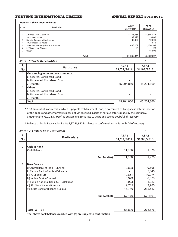$\ddot{\phantom{a}}$ 

i

|                | <b>Note: 4 Other Current Liabilities</b> |                          |            |
|----------------|------------------------------------------|--------------------------|------------|
| S. No          | <b>Particulars</b>                       | AS AT                    | AS AT      |
|                |                                          | 31/03/2014               | 31/03/2013 |
|                |                                          |                          |            |
| $\mathbf{1}$   | <b>Advance From Customers</b>            | 21,386,885               | 21,386,885 |
| $\overline{2}$ | Audit Fee Payable                        | 39,326                   | 19.663     |
| 3              | <b>Director Remuneration Payable</b>     | 30,000                   | 10,000     |
| $\overline{4}$ | <b>TDS Professional Payable</b>          | -                        | 1.011      |
| 5              | Superannuation Payable to Employee       | 406,109                  | 1,126,109  |
| 6              | <b>EPF Inspection Charges</b>            | 21                       | 28         |
| $\overline{7}$ | <b>Others</b>                            | $\overline{\phantom{a}}$ | 18.601     |
|                |                                          |                          |            |
|                | <b>Total</b>                             | 21,862,341               | 22,562,297 |

# *Note : 6 Trade Receivables*

| S.           | <b>Particulars</b>                   | <b>AS AT</b> | <b>AS AT</b> |
|--------------|--------------------------------------|--------------|--------------|
| <b>No</b>    |                                      | 31/03/2014   | 31/03/2013   |
| $\mathbf{1}$ | Outstanding for more than six months |              |              |
|              | a) Secured, Considered Good:         |              |              |
|              | b) Unsecured, Considered Good:       |              |              |
|              | c) Doubtful                          | 45,204,860   | 45.204.860   |
|              | <b>Others</b>                        |              |              |
|              | a) Secured, Considered Good:         |              |              |
|              | b) Unsecured, Considered Good:       |              |              |
|              | c) Doubtful                          |              |              |
|              | <b>Total</b>                         | 45,204,860   | 45.204.860   |

\* 10% amount of invoice value which is payable by Ministry of Food, Government of Bangladesh after inspection of the goods and other formalities has not yet received inspite of serious efforts made by the company, amounting to Rs.2,14,47,920/- is outstanding since last 12 years and seems doubtful of recovery.

\* Balance of Trade Receivables i.e. Rs 2,37,56,940 is subject to confirmation and is doubtful of recovery.

| S.<br><b>No</b> | <b>Particulars</b>                                                                                                                                                                                                                                                    | <b>AS AT</b><br>31/03/2014                           | <b>AS AT</b><br>31/03/2013                                     |
|-----------------|-----------------------------------------------------------------------------------------------------------------------------------------------------------------------------------------------------------------------------------------------------------------------|------------------------------------------------------|----------------------------------------------------------------|
| $\mathbf{1}$    | Cash-in-Hand<br>Cash Balance                                                                                                                                                                                                                                          | 11,336                                               | 1,975                                                          |
|                 | Sub Total (A)                                                                                                                                                                                                                                                         | 11,336                                               | 1,975                                                          |
| $\mathfrak{D}$  | <b>Bank Balance</b><br>i) Central Bank of India - Chennai<br>ii) Central Bank of India - Kakinada<br>iii) ICICI Bank Ltd<br>iv) Indian Bank - Chennai<br>v) Punjab National Bank ICD Tuglakabad<br>vi) SBI Nava Sheva - Bombay<br>vii) State Bank of Bikaner & Jaipur | 9,808<br>10,861<br>6,373<br>1,923<br>9,765<br>18,740 | 9,808<br>5,345<br>10,974<br>6,373<br>1,923<br>9,765<br>232,513 |
|                 | Sub Total (B)                                                                                                                                                                                                                                                         | 57,470                                               | 57,469                                                         |
|                 |                                                                                                                                                                                                                                                                       |                                                      |                                                                |
|                 | Total $[A + B]$                                                                                                                                                                                                                                                       | 68,806                                               | 278,676                                                        |

# *Note : 7 Cash & Cash Equivalent* ` `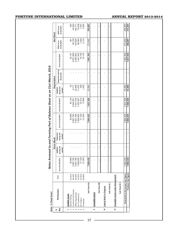|          | Note: 5 Fixed Asset                 |                      |                     |                                  |                                   | Notes Annexed to and Forming Part of Balance Sheet as on 31st March, 2014 |                  |                                  |                                |                  |                          |                         |
|----------|-------------------------------------|----------------------|---------------------|----------------------------------|-----------------------------------|---------------------------------------------------------------------------|------------------|----------------------------------|--------------------------------|------------------|--------------------------|-------------------------|
|          |                                     |                      |                     |                                  | <b>Gross Block</b>                |                                                                           |                  |                                  | Depreciaton                    |                  | Net Block                |                         |
| å<br>vi  | Particulars                         | Rate                 | on 01.04.2013<br>4s | during the<br>Addition<br>period | during the<br>Deduction<br>period | As on 31.03.2014                                                          | As on 01.04.2013 | during the<br>Addition<br>period | Deduction during<br>the period | As on 31.03.2014 | 31.03.2014<br>WDV as on  | 31.03.2013<br>WDV as on |
|          | <b>Tangible Assets</b>              |                      |                     |                                  |                                   |                                                                           |                  |                                  |                                |                  |                          |                         |
|          | Electric Fitting                    | 13.91%               | 30,588              |                                  |                                   | 30,588                                                                    | 30,134           | 63                               |                                | 30,197           | 391                      | 454                     |
|          | Furnitures & Fixtures               | 18.10%               | 2,687,794           |                                  |                                   | 2,687,794                                                                 | 2,642,951        | 8,117                            |                                | 2,651,068        | 36,726                   | 44,843                  |
|          | Office Equipment                    | 18.10%               | 3,567,789           |                                  |                                   | 3,567,789                                                                 | 3,441,018        | 22,946                           |                                | 3,463,964        | 103,825                  | 126,771<br>79,638       |
| 4        | Air Conditioners                    | 13.91%               | 1,509,905           |                                  |                                   | 1,509,905                                                                 | 1,430,267        | 11,078                           |                                | 1,441,345        | 68,560<br>1,409<br>2,132 |                         |
|          | Air Coolers                         | 13.91%               |                     |                                  |                                   |                                                                           | 75,472<br>17,696 |                                  |                                | 75,700           |                          | 1,637                   |
| $\circ$  | Computer                            | 40.00%               | 77,109<br>21,250    |                                  |                                   | 77,109<br>21,250                                                          |                  | 1,422                            |                                | 19,118           |                          | 3,554                   |
|          | Sub-Total (A)                       |                      | 7,894,435           |                                  |                                   | 7,894,435                                                                 | 7,637,538        | 43,854                           |                                | 7,681,392        | 213,043                  | 256,897                 |
|          |                                     |                      |                     |                                  |                                   |                                                                           |                  |                                  |                                |                  |                          |                         |
| $=$      | Intangible Assets                   |                      |                     |                                  |                                   |                                                                           |                  |                                  |                                |                  |                          |                         |
|          | Sub-Total (B)                       |                      |                     |                                  |                                   |                                                                           |                  |                                  |                                |                  |                          |                         |
| $\equiv$ | Capital Work In Progress            |                      |                     |                                  |                                   |                                                                           |                  |                                  |                                |                  |                          |                         |
|          | Sub-Total (C)                       |                      | ı                   | ı                                |                                   | ı                                                                         |                  |                                  |                                |                  |                          | ı                       |
| $\geq$   | Intangible Assets under Development |                      |                     |                                  |                                   |                                                                           |                  |                                  |                                |                  |                          |                         |
|          |                                     |                      |                     |                                  |                                   |                                                                           |                  |                                  |                                |                  |                          |                         |
|          | Sub-Total (D)                       |                      |                     |                                  |                                   |                                                                           |                  |                                  |                                |                  |                          |                         |
|          | Total (A+B+C+D) Current Year Figure |                      | 7,894,435           | t                                |                                   | 7,894,435                                                                 | 7.637.538        | 43,854                           |                                | 7.681.392        | 213,043                  | 256,897                 |
|          |                                     | Previous Year Figure | 7,894,435           |                                  |                                   | 7,894,435                                                                 | 7,584,038        | 53,500                           |                                | 7,637,538        | 256,897                  | 310,397                 |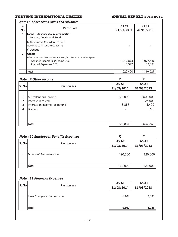# *Note : 8 Short Terms Loans and Advances*

| S.<br><b>No</b> | <b>Particulars</b>                                                                                                                                    | <b>AS AT</b><br>31/03/2014 | <b>AS AT</b><br>31/03/2013 |
|-----------------|-------------------------------------------------------------------------------------------------------------------------------------------------------|----------------------------|----------------------------|
| $\mathbf{1}$    | Loans & Advances to related parties<br>a) Secured, Considered Good:                                                                                   |                            |                            |
|                 | b) Unsecured, Considered Good:<br>Advance to Associate Concerns                                                                                       |                            |                            |
|                 | c) Doubtful                                                                                                                                           |                            |                            |
| $\mathfrak{D}$  | <b>Others</b><br>Advance Recoverable in cash or in kind or for value to be considered good<br>Advance Income Tax/Refund Due<br>Prepaid Expenses- CDSL | 1,012,873<br>16.547        | 1,077,436<br>33.091        |
|                 | <b>Total</b>                                                                                                                                          | 1.029.420                  | 1.110.527                  |

# $Note: 9 Other Income$   $\bar{z}$   $\bar{z}$

| S. No            | <b>Particulars</b>                                                                     | <b>AS AT</b><br>31/03/2014 | <b>AS AT</b><br>31/03/2013           |
|------------------|----------------------------------------------------------------------------------------|----------------------------|--------------------------------------|
| 1<br>2<br>3<br>4 | Miscellaneous Income<br>Interest Received<br>Interest on Income Tax Refund<br>Dividend | 720,000<br>3,867           | 2,500,000<br>25,000<br>11,490<br>770 |
|                  | <b>Total</b>                                                                           | 723,867                    | 2,537,260                            |

|       | <b>Note: 10 Employees Benefits Expenses</b> |                            |                            |
|-------|---------------------------------------------|----------------------------|----------------------------|
| S. No | <b>Particulars</b>                          | <b>AS AT</b><br>31/03/2014 | <b>AS AT</b><br>31/03/2013 |
|       | Directors' Remuneration                     | 120,000                    | 120,000                    |
|       | Total                                       | 120,000                    | 120,000                    |

# *Note : 11 Financial Expenses*

| S. No | <b>Particulars</b>                   | <b>AS AT</b><br>31/03/2014 | <b>AS AT</b><br>31/03/2013 |
|-------|--------------------------------------|----------------------------|----------------------------|
| 1     | <b>Bank Charges &amp; Commission</b> | 6,107                      | 3,035                      |
|       | <b>Total</b>                         | 6,107                      | 3,035                      |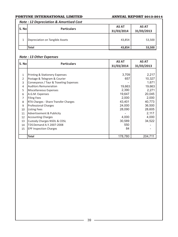|       | <b>Note: 12 Depreciation &amp; Amortised Cost</b> |                            |                            |  |  |
|-------|---------------------------------------------------|----------------------------|----------------------------|--|--|
| S. No | <b>Particulars</b>                                | <b>AS AT</b><br>31/03/2014 | <b>AS AT</b><br>31/03/2013 |  |  |
|       | Depreciation on Tangible Assets                   | 43,854                     | 53,500                     |  |  |
|       | <b>Total</b>                                      | 43,854                     | 53,500                     |  |  |

# *Note : 13 Other Expenses*

|                |                                           | AS AT      | <b>AS AT</b> |
|----------------|-------------------------------------------|------------|--------------|
| S. No          | <b>Particulars</b>                        | 31/03/2014 | 31/03/2013   |
|                |                                           |            |              |
| 1              | <b>Printing &amp; Stationery Expenses</b> | 3,709      | 2,217        |
| $\overline{2}$ | Postage & Telegram & Courier              | 657        | 10,327       |
| 3              | Conveyance / Tour & Traveling Expenses    |            | 1,671        |
| 4              | <b>Auditors Remuneration</b>              | 19,663     | 19,663       |
| 5              | Miscellaneous Expenses                    | 2,390      | 2,271        |
| 6              | A.G.M. Expenses                           | 19,647     | 20,045       |
| 7              | <b>Filing Fees</b>                        | 2,000      | 2,000        |
| 8              | RTA Charges - Share Transfer Charges      | 43,401     | 40,773       |
| 9              | <b>Professional Charges</b>               | 24,000     | 36,500       |
| 10             | <b>Listing Fees</b>                       | 28,090     | 28,605       |
| 11             | <b>Advertisement &amp; Publicity</b>      |            | 2,117        |
| 12             | <b>Accounting Charges</b>                 | 4,000      | 4,000        |
| 13             | Custody Charges NSDL & CDSL               | 30,589     | 34,522       |
| 14             | TDS Demand A.Y. 2007-2008                 | 550        |              |
| 15             | <b>EPF Inspection Charges</b>             | 84         |              |
|                |                                           |            |              |
|                | Total                                     | 178,780    | 204.711      |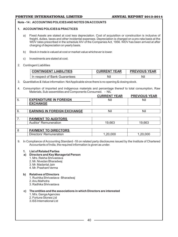#### **Note - 14 : ACCOUNTING POLICIES AND NOTES ON ACCOUNTS**

# **1. ACCOUNTING POLICIES & PRACTICES**

- a) Fixed Assets are stated at cost less depreciation. Cost of acquisition or construction is inclusive of freight, duties, taxes and other incidental expenses. Depreciation is charged on a pro-rata basis at the WDV rates prescribed in the schedule XIV of the Companies Act, 1956. WDV has been arrived at after charging of depreciation on yearly basis.
- b) Stock in trade is valued at cost or market value whichever is lower.
- c) Investments are stated at cost.

#### 2. Contingent Liabilities

| <b>CONTINGENT LIABILITIES</b> | <b>CURRENT YEAR</b> | <b>PREVIOUS YEAR</b> |
|-------------------------------|---------------------|----------------------|
| In respect of Bank Guarantees | Nil                 | Nil                  |

3. Quantitative & Value information: Not Applicable since there is no opening & closing stock.

4. Consumption of imported and indigenous materials and percentage thereof to total consumption, Raw Materials, Sub-assemblies and Components Consumed. - NIL

|    |                                    | <b>CURRENT YEAR</b> | <b>PREVIOUS YEAR</b> |
|----|------------------------------------|---------------------|----------------------|
| 5. | <b>EXPENDITURE IN FOREIGN</b>      | Nil                 | Nil                  |
|    | <b>EXCHANGE</b>                    |                     |                      |
|    |                                    |                     |                      |
| 6. | <b>EARNING IN FOREIGN EXCHANGE</b> | Nil                 | Nil                  |
|    |                                    |                     |                      |
|    | <b>PAYMENT TO AUDITORS</b>         |                     |                      |
|    | Auditor' Remuneration              | 19,663              | 19.663               |
|    |                                    |                     |                      |
| 8  | <b>PAYMENT TO DIRECTORS</b>        |                     |                      |
|    | Directors' Remuneration            | 1,20,000            | 1,20,000             |
|    |                                    |                     |                      |

9. In Compliance of Accounting Standard -18 on related party disclosures issued by the Institute of Chartered Accountants of India, the required information is given as under.

#### **1. List of Related Parties**

# **a) Directors and Key Managerial Person**

- 1. Mrs. Rekha Shrivastava
- 2. Mr. Nivedan Bharadwaj
- 3. Mr. Madanlal Jain
- 4. Mr. Prashant Verma

# **b) Relatives of Directors**

- 1. Ruchika Shrivastava Bharadwaj
- 2. Anu Malhotra
- 3. Radhika Shrivastava

#### **c) The entities and the associations in which Directors are interested**

- 1. M/s. Ganga Agencies
- 2. Fortune Stones Ltd
- 3.ISS International Ltd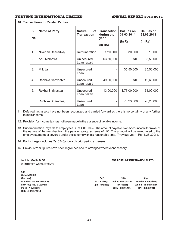**10. Transaction with Related Parties** 

| S.<br><b>No</b> | <b>Name of Party</b> | <b>of</b><br><b>Nature</b><br><b>Transaction</b> | <b>Transaction</b><br>during the<br>year<br>(ln Rs) | Bal as on<br>31.03.2014<br>(ln Rs) | Bal<br>as on<br>31.03.2013<br>(ln Rs) |
|-----------------|----------------------|--------------------------------------------------|-----------------------------------------------------|------------------------------------|---------------------------------------|
| 1.              | Nivedan Bharadwai    | Remuneration                                     | 1,20,000                                            | 30,000                             | 10,000                                |
| 2.              | Anu Malhotra         | Un secured<br>Loan repaid                        | 63,50,000                                           | <b>NIL</b>                         | 63,50,000                             |
| 3.              | M L Jain             | Unsecured<br>Loan                                |                                                     | 35,50,000                          | 35,50,000                             |
| 4.              | Radhika Shrivastva   | Unsecured<br>Loan repaid                         | 49,60,000                                           | <b>NIL</b>                         | 49,60,000                             |
| 5.              | Rekha Shrivastva     | Unsecured<br>Loan taken                          | 1,13,00,000                                         | 1,77,00,000                        | 64,00,000                             |
| 6.              | Ruchika Bharadwaj    | Unsecured<br>Loan                                |                                                     | 76,23,000                          | 76,23,000                             |

11. Deferred tax assets have not been recognized and carried forward as there is no certainty of any further taxable income.

- 12. Provision for Income tax has not been made in the absence of taxable income.
- 13. Superannuation Payable to employees is Rs 4,06,109/-. The amount payable is on Account of withdrawal of the names of the member from the pension group scheme of LIC. The amount will be reimbursed to the employees/member covered under the scheme within a reasonable time. (Previous year – Rs 11,26,309/-).
- 14. Bank charges includes Rs. 5345/- towards prior period expenses.
- 15. Previous Year figures have been regrouped and re-arranged wherever necessary

| for L.N. MALIK & CO.<br><b>CHARTERED ACCOUNTANTS</b>                                                                                      | FOR FORTUNE INTERNATIONAL LTD.           |                                                                |                                                                               |
|-------------------------------------------------------------------------------------------------------------------------------------------|------------------------------------------|----------------------------------------------------------------|-------------------------------------------------------------------------------|
| $Sd$ /-<br>(L. N. MALIIK)<br>(Partner)<br>Membership No.: 010423<br>Firm Reg. No.: 015992N<br><b>Place: New Delhi</b><br>Date: 30/05/2014 | $Sd/-$<br>A.K. Kukreja<br>(g.m. Finance) | $Sd$ /-<br>Rekha Shrivastava<br>(Director)<br>(DIN - 00051261) | $Sd/-$<br>Nivedan Bharadwaj<br><b>Whole Time director</b><br>(DIN - 00040191) |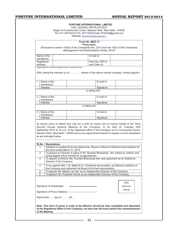#### **FORTUNE INTERNATIONAL LIMITED**

CIN: L52324DL1981PLC012033

Regd**:** G-4 Community Centre, Naraina Vihar, New Delhi- 110028 Tel: 011-25774212-214, 25771629 Email: fil12033@gmail.com Website: www.fortuneinternational.in

|                                |                                                                                                                                                       |                                                                                         | Form No. MGT-11<br>[Pursuant to section 105(6) of the Companies Act, 2013 and rule 19(3) of the Companies<br>(Management and Administration) Rules, 2014]                                   | Proxy form                         |            |  |                  |  |
|--------------------------------|-------------------------------------------------------------------------------------------------------------------------------------------------------|-----------------------------------------------------------------------------------------|---------------------------------------------------------------------------------------------------------------------------------------------------------------------------------------------|------------------------------------|------------|--|------------------|--|
| Name of the                    |                                                                                                                                                       |                                                                                         |                                                                                                                                                                                             | E-mail id:                         |            |  |                  |  |
| member(s):                     |                                                                                                                                                       |                                                                                         |                                                                                                                                                                                             |                                    |            |  |                  |  |
| Registered<br>address:         |                                                                                                                                                       |                                                                                         |                                                                                                                                                                                             | Folio No./*DP id<br>and Client id: |            |  |                  |  |
|                                |                                                                                                                                                       |                                                                                         | *Applicable for investors holding shares in electronic form                                                                                                                                 |                                    |            |  |                  |  |
|                                |                                                                                                                                                       |                                                                                         | I/We, being the member (s) of  shares of the above named company, hereby appoint                                                                                                            |                                    |            |  |                  |  |
| 1                              | Name of the                                                                                                                                           |                                                                                         |                                                                                                                                                                                             |                                    | E-mail id: |  |                  |  |
|                                | $member(s)$ :<br>Address                                                                                                                              |                                                                                         |                                                                                                                                                                                             |                                    |            |  |                  |  |
|                                |                                                                                                                                                       |                                                                                         |                                                                                                                                                                                             | or failing him                     | Signature  |  |                  |  |
|                                |                                                                                                                                                       |                                                                                         |                                                                                                                                                                                             |                                    |            |  |                  |  |
| 2                              | Name of the<br>member(s):                                                                                                                             |                                                                                         |                                                                                                                                                                                             |                                    | E-mail id: |  |                  |  |
|                                | Address                                                                                                                                               |                                                                                         |                                                                                                                                                                                             |                                    | Signature  |  |                  |  |
|                                |                                                                                                                                                       |                                                                                         |                                                                                                                                                                                             | or failing him                     |            |  |                  |  |
|                                |                                                                                                                                                       |                                                                                         |                                                                                                                                                                                             |                                    |            |  |                  |  |
| 3                              | Name of the<br>member(s):                                                                                                                             |                                                                                         |                                                                                                                                                                                             |                                    | E-mail id: |  |                  |  |
|                                | <b>Address</b>                                                                                                                                        |                                                                                         |                                                                                                                                                                                             |                                    | Signature  |  |                  |  |
|                                | as are indicated below                                                                                                                                |                                                                                         | September 2014 at 10 a.m. at the registered office of the Company at G-4 Community Centre,<br>Naraina Vihar, New Delhi-110028 and at any adjournment thereof in respect of such resolutions |                                    |            |  |                  |  |
| Sr.No                          |                                                                                                                                                       | <b>Resolutions</b>                                                                      |                                                                                                                                                                                             |                                    |            |  |                  |  |
| 1                              |                                                                                                                                                       | Adoption of audited financial statements, Report of Board of Directors and Auditors for |                                                                                                                                                                                             |                                    |            |  |                  |  |
| 2                              |                                                                                                                                                       |                                                                                         | the year ended March 31, 2014.<br>To appoint an Director in place of Mr. Nivedan Bharadwaj who retires by rotation and                                                                      |                                    |            |  |                  |  |
|                                |                                                                                                                                                       |                                                                                         | being eligible offers himself for re-appointment                                                                                                                                            |                                    |            |  |                  |  |
| 3                              |                                                                                                                                                       | Director of the Company                                                                 | To appoint a Director Ms. Ruchika Bharadwaj who was appointed as an Additional                                                                                                              |                                    |            |  |                  |  |
| 4                              | To re-appoint M/s. L.N. Malik & Co, Chartered Accountants, as Statutory Auditors of<br>the Company and authorise the Board to fix their remuneration. |                                                                                         |                                                                                                                                                                                             |                                    |            |  |                  |  |
| 5                              |                                                                                                                                                       |                                                                                         | To appoint Mr. Madan Lal Jain as an Independent Director of the Company                                                                                                                     |                                    |            |  |                  |  |
| 6                              |                                                                                                                                                       |                                                                                         | To appoint Mr. Prashant Verma as an Independent Director of the Company                                                                                                                     |                                    |            |  |                  |  |
|                                |                                                                                                                                                       | Signature of shareholder                                                                |                                                                                                                                                                                             |                                    |            |  | Affix<br>Revenue |  |
| Signature of Proxy holder(s) - |                                                                                                                                                       |                                                                                         |                                                                                                                                                                                             |                                    |            |  | Stamp            |  |
|                                |                                                                                                                                                       | Signed this day of 20                                                                   |                                                                                                                                                                                             |                                    |            |  |                  |  |
|                                | of the Meeting                                                                                                                                        |                                                                                         | Note: This form of proxy in order to be effective should be duly completed and deposited<br>at the Registered Office of the Company, not less than 48 hours before the commencement         |                                    |            |  |                  |  |